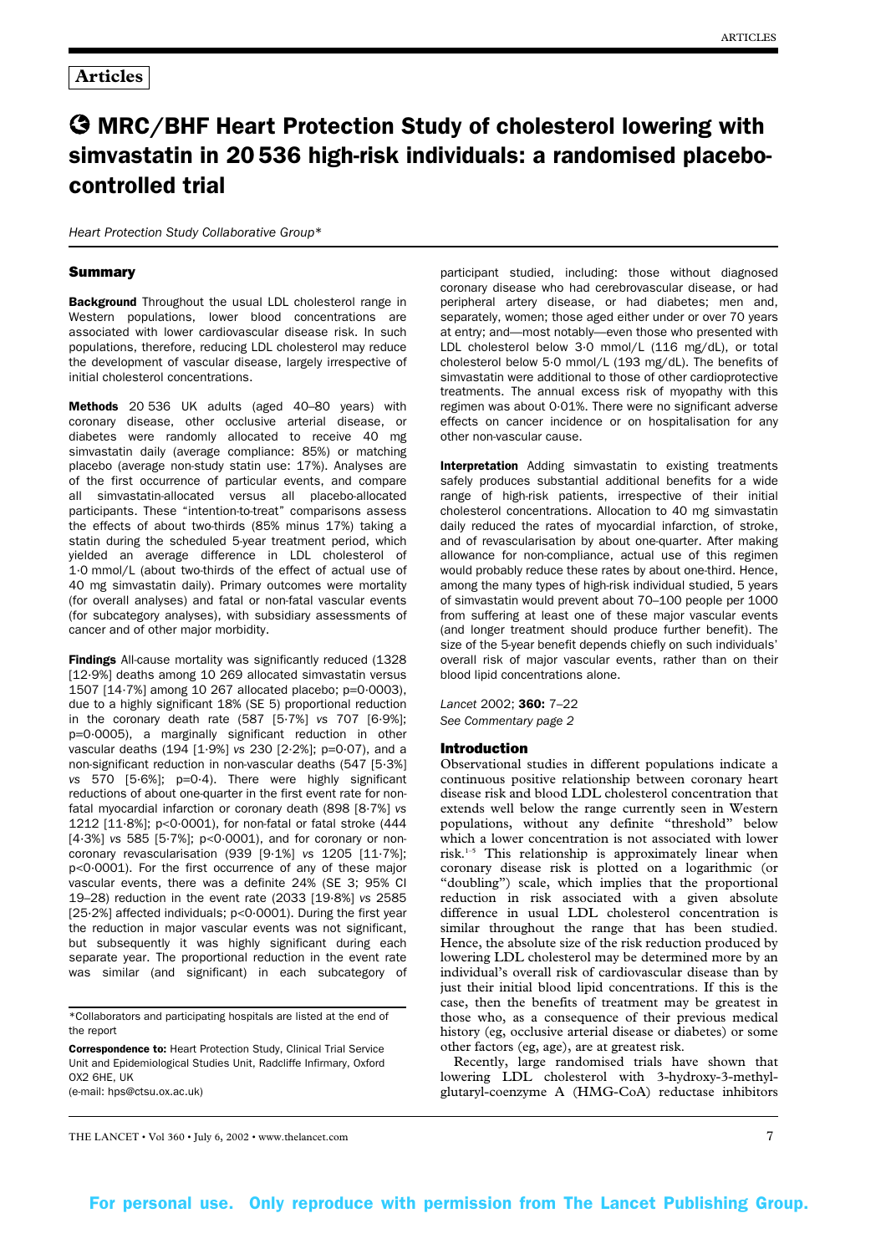# MRC/BHF Heart Protection Study of cholesterol lowering with simvastatin in 20536 high-risk individuals: a randomised placebocontrolled trial

*Heart Protection Study Collaborative Group*\*

# Summary

**Background** Throughout the usual LDL cholesterol range in Western populations, lower blood concentrations are associated with lower cardiovascular disease risk. In such populations, therefore, reducing LDL cholesterol may reduce the development of vascular disease, largely irrespective of initial cholesterol concentrations.

Methods 20 536 UK adults (aged 40–80 years) with coronary disease, other occlusive arterial disease, or diabetes were randomly allocated to receive 40 mg simvastatin daily (average compliance: 85%) or matching placebo (average non-study statin use: 17%). Analyses are of the first occurrence of particular events, and compare all simvastatin-allocated versus all placebo-allocated participants. These "intention-to-treat" comparisons assess the effects of about two-thirds (85% minus 17%) taking a statin during the scheduled 5-year treatment period, which yielded an average difference in LDL cholesterol of 1·0mmol/L (about two-thirds of the effect of actual use of 40 mg simvastatin daily). Primary outcomes were mortality (for overall analyses) and fatal or non-fatal vascular events (for subcategory analyses), with subsidiary assessments of cancer and of other major morbidity.

Findings All-cause mortality was significantly reduced (1328 [12·9%] deaths among 10 269 allocated simvastatin versus 1507 [14·7%] among 10 267 allocated placebo; p=0·0003), due to a highly significant 18% (SE 5) proportional reduction in the coronary death rate (587 [5·7%] *vs* 707 [6·9%]; p=0·0005), a marginally significant reduction in other vascular deaths (194 [1·9%] *vs* 230 [2·2%]; p=0·07), and a non-significant reduction in non-vascular deaths (547 [5·3%] *vs* 570 [5·6%]; p=0·4). There were highly significant reductions of about one-quarter in the first event rate for nonfatal myocardial infarction or coronary death (898 [8·7%] *vs* 1212 [11·8%]; p<0·0001), for non-fatal or fatal stroke (444 [4·3%] *vs* 585 [5·7%]; p<0·0001), and for coronary or noncoronary revascularisation (939 [9·1%] *vs* 1205 [11·7%]; p<0·0001). For the first occurrence of any of these major vascular events, there was a definite 24% (SE 3; 95% CI 19–28) reduction in the event rate (2033 [19·8%] *vs* 2585 [25·2%] affected individuals; p<0·0001). During the first year the reduction in major vascular events was not significant, but subsequently it was highly significant during each separate year. The proportional reduction in the event rate was similar (and significant) in each subcategory of

\*Collaborators and participating hospitals are listed at the end of the report

Correspondence to: Heart Protection Study, Clinical Trial Service Unit and Epidemiological Studies Unit, Radcliffe Infirmary, Oxford OX2 6HE, UK (e-mail: hps@ctsu.ox.ac.uk)

participant studied, including: those without diagnosed coronary disease who had cerebrovascular disease, or had peripheral artery disease, or had diabetes; men and, separately, women; those aged either under or over 70 years at entry; and—most notably—even those who presented with LDL cholesterol below 3.0 mmol/L (116 mg/dL), or total cholesterol below 5.0 mmol/L (193 mg/dL). The benefits of simvastatin were additional to those of other cardioprotective treatments. The annual excess risk of myopathy with this regimen was about 0·01%. There were no significant adverse effects on cancer incidence or on hospitalisation for any other non-vascular cause.

Interpretation Adding simvastatin to existing treatments safely produces substantial additional benefits for a wide range of high-risk patients, irrespective of their initial cholesterol concentrations. Allocation to 40 mg simvastatin daily reduced the rates of myocardial infarction, of stroke, and of revascularisation by about one-quarter. After making allowance for non-compliance, actual use of this regimen would probably reduce these rates by about one-third. Hence, among the many types of high-risk individual studied, 5 years of simvastatin would prevent about 70–100 people per 1000 from suffering at least one of these major vascular events (and longer treatment should produce further benefit). The size of the 5-year benefit depends chiefly on such individuals' overall risk of major vascular events, rather than on their blood lipid concentrations alone.

*Lancet* 2002; 360: 7–22 *See Commentary page 2*

# Introduction

Observational studies in different populations indicate a continuous positive relationship between coronary heart disease risk and blood LDL cholesterol concentration that extends well below the range currently seen in Western populations, without any definite "threshold" below which a lower concentration is not associated with lower risk.1–5 This relationship is approximately linear when coronary disease risk is plotted on a logarithmic (or "doubling") scale, which implies that the proportional reduction in risk associated with a given absolute difference in usual LDL cholesterol concentration is similar throughout the range that has been studied. Hence, the absolute size of the risk reduction produced by lowering LDL cholesterol may be determined more by an individual's overall risk of cardiovascular disease than by just their initial blood lipid concentrations. If this is the case, then the benefits of treatment may be greatest in those who, as a consequence of their previous medical history (eg, occlusive arterial disease or diabetes) or some other factors (eg, age), are at greatest risk.

Recently, large randomised trials have shown that lowering LDL cholesterol with 3-hydroxy-3-methylglutaryl-coenzyme A (HMG-CoA) reductase inhibitors

THE LANCET • Vol 360 • July 6, 2002 • www.thelancet.com 7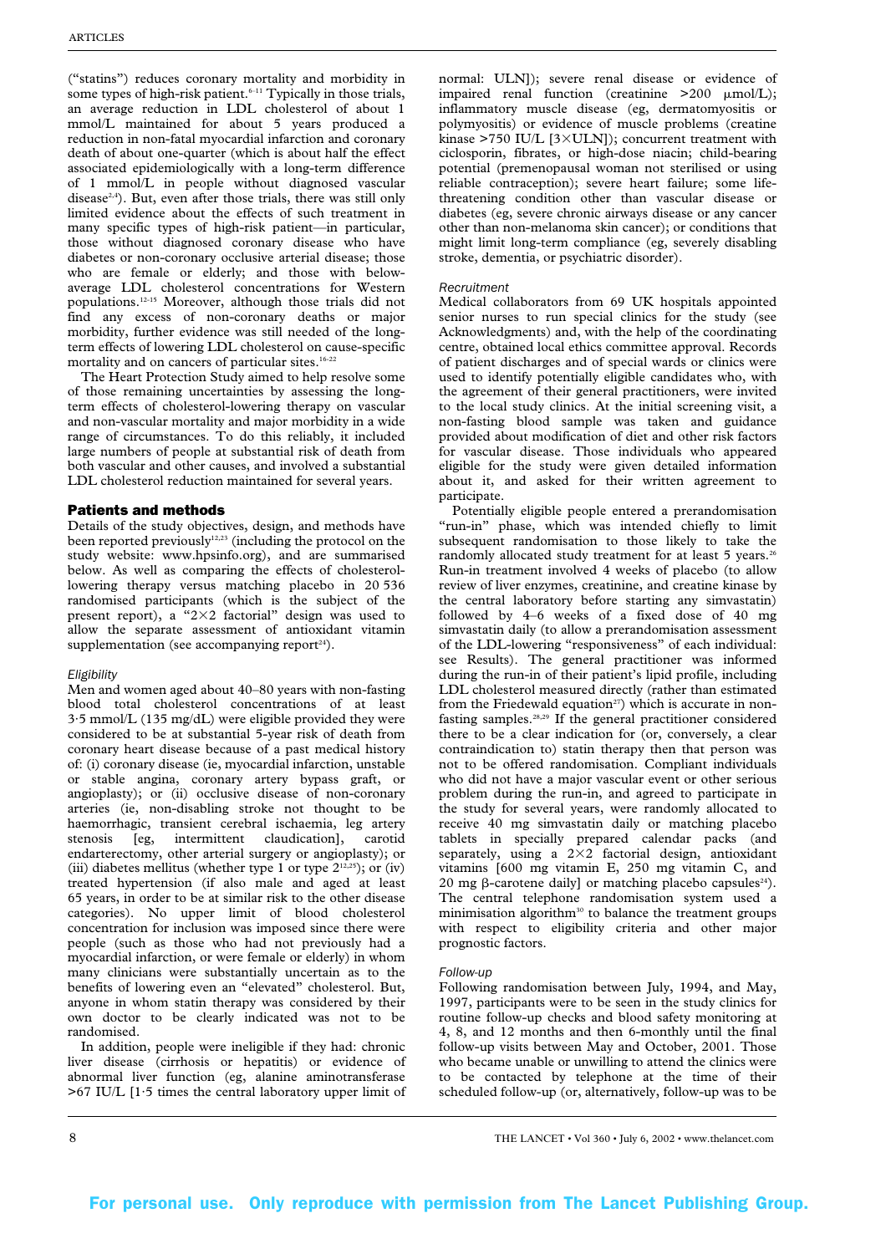("statins") reduces coronary mortality and morbidity in some types of high-risk patient.<sup>6-11</sup> Typically in those trials, an average reduction in LDL cholesterol of about 1 mmol/L maintained for about 5 years produced a reduction in non-fatal myocardial infarction and coronary death of about one-quarter (which is about half the effect associated epidemiologically with a long-term difference of 1 mmol/L in people without diagnosed vascular disease<sup> $2,4$ </sup>). But, even after those trials, there was still only limited evidence about the effects of such treatment in many specific types of high-risk patient—in particular, those without diagnosed coronary disease who have diabetes or non-coronary occlusive arterial disease; those who are female or elderly; and those with belowaverage LDL cholesterol concentrations for Western populations.12-15 Moreover, although those trials did not find any excess of non-coronary deaths or major morbidity, further evidence was still needed of the longterm effects of lowering LDL cholesterol on cause-specific mortality and on cancers of particular sites.<sup>16-22</sup>

The Heart Protection Study aimed to help resolve some of those remaining uncertainties by assessing the longterm effects of cholesterol-lowering therapy on vascular and non-vascular mortality and major morbidity in a wide range of circumstances. To do this reliably, it included large numbers of people at substantial risk of death from both vascular and other causes, and involved a substantial LDL cholesterol reduction maintained for several years.

# Patients and methods

Details of the study objectives, design, and methods have been reported previously<sup>12,23</sup> (including the protocol on the study website: www.hpsinfo.org), and are summarised below. As well as comparing the effects of cholesterollowering therapy versus matching placebo in 20 536 randomised participants (which is the subject of the present report), a " $2\times2$  factorial" design was used to allow the separate assessment of antioxidant vitamin supplementation (see accompanying report $24$ ).

# *Eligibility*

Men and women aged about 40–80 years with non-fasting blood total cholesterol concentrations of at least 3·5 mmol/L (135 mg/dL) were eligible provided they were considered to be at substantial 5-year risk of death from coronary heart disease because of a past medical history of: (i) coronary disease (ie, myocardial infarction, unstable or stable angina, coronary artery bypass graft, or angioplasty); or (ii) occlusive disease of non-coronary arteries (ie, non-disabling stroke not thought to be haemorrhagic, transient cerebral ischaemia, leg artery stenosis [eg, intermittent claudication], carotid endarterectomy, other arterial surgery or angioplasty); or (iii) diabetes mellitus (whether type 1 or type  $2^{12,25}$ ); or (iv) treated hypertension (if also male and aged at least 65 years, in order to be at similar risk to the other disease categories). No upper limit of blood cholesterol concentration for inclusion was imposed since there were people (such as those who had not previously had a myocardial infarction, or were female or elderly) in whom many clinicians were substantially uncertain as to the benefits of lowering even an "elevated" cholesterol. But, anyone in whom statin therapy was considered by their own doctor to be clearly indicated was not to be randomised.

In addition, people were ineligible if they had: chronic liver disease (cirrhosis or hepatitis) or evidence of abnormal liver function (eg, alanine aminotransferase  $>67$  IU/L [1 $\cdot$ 5 times the central laboratory upper limit of normal: ULN]); severe renal disease or evidence of impaired renal function (creatinine  $>200$   $\mu$ mol/L); inflammatory muscle disease (eg, dermatomyositis or polymyositis) or evidence of muscle problems (creatine kinase >750 IU/L  $[3 \times ULN]$ ; concurrent treatment with ciclosporin, fibrates, or high-dose niacin; child-bearing potential (premenopausal woman not sterilised or using reliable contraception); severe heart failure; some lifethreatening condition other than vascular disease or diabetes (eg, severe chronic airways disease or any cancer other than non-melanoma skin cancer); or conditions that might limit long-term compliance (eg, severely disabling stroke, dementia, or psychiatric disorder).

# *Recruitment*

Medical collaborators from 69 UK hospitals appointed senior nurses to run special clinics for the study (see Acknowledgments) and, with the help of the coordinating centre, obtained local ethics committee approval. Records of patient discharges and of special wards or clinics were used to identify potentially eligible candidates who, with the agreement of their general practitioners, were invited to the local study clinics. At the initial screening visit, a non-fasting blood sample was taken and guidance provided about modification of diet and other risk factors for vascular disease. Those individuals who appeared eligible for the study were given detailed information about it, and asked for their written agreement to participate.

Potentially eligible people entered a prerandomisation "run-in" phase, which was intended chiefly to limit subsequent randomisation to those likely to take the randomly allocated study treatment for at least 5 years.<sup>26</sup> Run-in treatment involved 4 weeks of placebo (to allow review of liver enzymes, creatinine, and creatine kinase by the central laboratory before starting any simvastatin) followed by 4–6 weeks of a fixed dose of 40 mg simvastatin daily (to allow a prerandomisation assessment of the LDL-lowering "responsiveness" of each individual: see Results). The general practitioner was informed during the run-in of their patient's lipid profile, including LDL cholesterol measured directly (rather than estimated from the Friedewald equation<sup>27</sup>) which is accurate in nonfasting samples.28,29 If the general practitioner considered there to be a clear indication for (or, conversely, a clear contraindication to) statin therapy then that person was not to be offered randomisation. Compliant individuals who did not have a major vascular event or other serious problem during the run-in, and agreed to participate in the study for several years, were randomly allocated to receive 40 mg simvastatin daily or matching placebo tablets in specially prepared calendar packs (and separately, using a  $2\times2$  factorial design, antioxidant vitamins [600 mg vitamin E, 250 mg vitamin C, and 20 mg β-carotene daily] or matching placebo capsules<sup>24</sup>). The central telephone randomisation system used a minimisation algorithm<sup>30</sup> to balance the treatment groups with respect to eligibility criteria and other major prognostic factors.

# *Follow-up*

Following randomisation between July, 1994, and May, 1997, participants were to be seen in the study clinics for routine follow-up checks and blood safety monitoring at 4, 8, and 12 months and then 6-monthly until the final follow-up visits between May and October, 2001. Those who became unable or unwilling to attend the clinics were to be contacted by telephone at the time of their scheduled follow-up (or, alternatively, follow-up was to be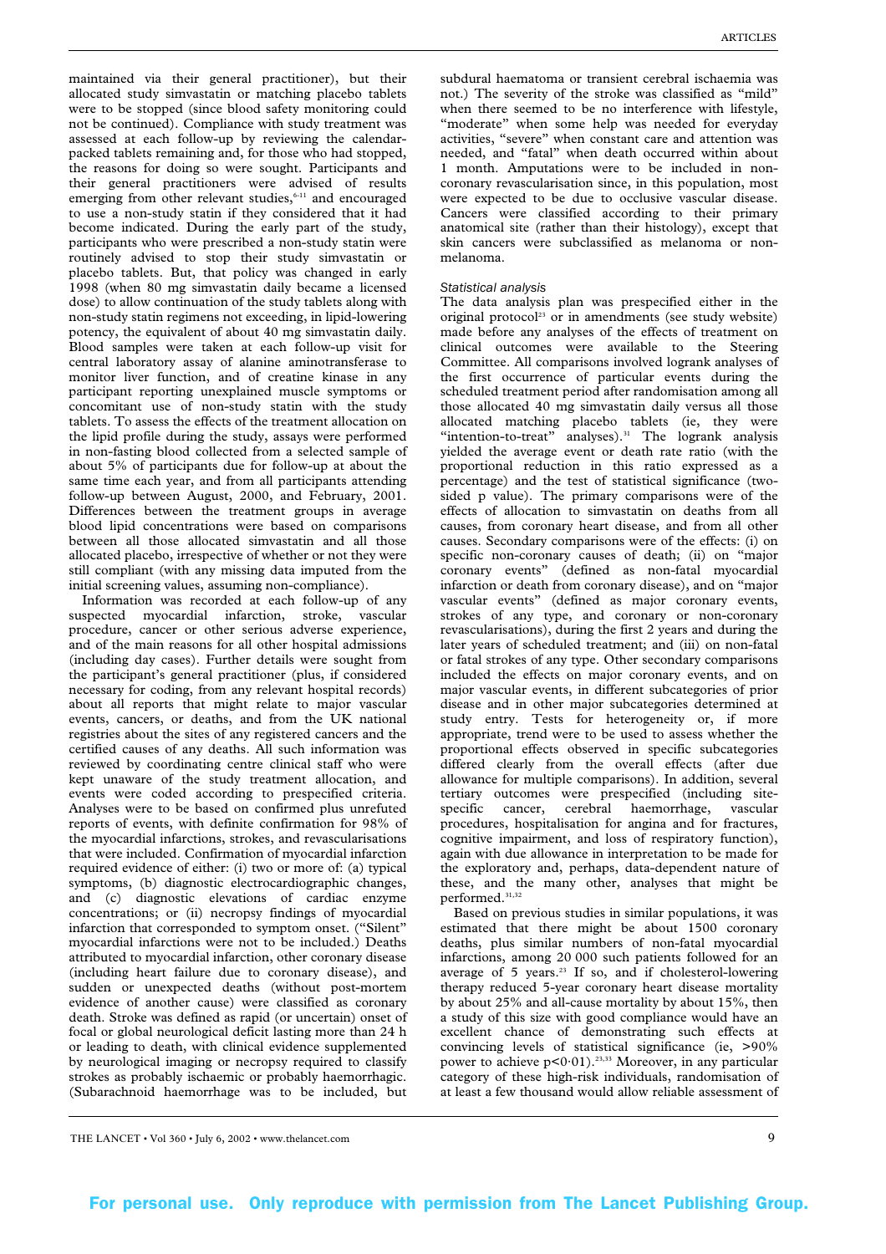maintained via their general practitioner), but their allocated study simvastatin or matching placebo tablets were to be stopped (since blood safety monitoring could not be continued). Compliance with study treatment was assessed at each follow-up by reviewing the calendarpacked tablets remaining and, for those who had stopped, the reasons for doing so were sought. Participants and their general practitioners were advised of results emerging from other relevant studies,<sup>6-11</sup> and encouraged to use a non-study statin if they considered that it had become indicated. During the early part of the study, participants who were prescribed a non-study statin were routinely advised to stop their study simvastatin or placebo tablets. But, that policy was changed in early 1998 (when 80 mg simvastatin daily became a licensed dose) to allow continuation of the study tablets along with non-study statin regimens not exceeding, in lipid-lowering potency, the equivalent of about 40 mg simvastatin daily. Blood samples were taken at each follow-up visit for central laboratory assay of alanine aminotransferase to monitor liver function, and of creatine kinase in any participant reporting unexplained muscle symptoms or concomitant use of non-study statin with the study tablets. To assess the effects of the treatment allocation on the lipid profile during the study, assays were performed in non-fasting blood collected from a selected sample of about 5% of participants due for follow-up at about the same time each year, and from all participants attending follow-up between August, 2000, and February, 2001. Differences between the treatment groups in average blood lipid concentrations were based on comparisons between all those allocated simvastatin and all those allocated placebo, irrespective of whether or not they were still compliant (with any missing data imputed from the initial screening values, assuming non-compliance).

Information was recorded at each follow-up of any suspected myocardial infarction, stroke, vascular procedure, cancer or other serious adverse experience, and of the main reasons for all other hospital admissions (including day cases). Further details were sought from the participant's general practitioner (plus, if considered necessary for coding, from any relevant hospital records) about all reports that might relate to major vascular events, cancers, or deaths, and from the UK national registries about the sites of any registered cancers and the certified causes of any deaths. All such information was reviewed by coordinating centre clinical staff who were kept unaware of the study treatment allocation, and events were coded according to prespecified criteria. Analyses were to be based on confirmed plus unrefuted reports of events, with definite confirmation for 98% of the myocardial infarctions, strokes, and revascularisations that were included. Confirmation of myocardial infarction required evidence of either: (i) two or more of: (a) typical symptoms, (b) diagnostic electrocardiographic changes, and (c) diagnostic elevations of cardiac enzyme concentrations; or (ii) necropsy findings of myocardial infarction that corresponded to symptom onset. ("Silent" myocardial infarctions were not to be included.) Deaths attributed to myocardial infarction, other coronary disease (including heart failure due to coronary disease), and sudden or unexpected deaths (without post-mortem evidence of another cause) were classified as coronary death. Stroke was defined as rapid (or uncertain) onset of focal or global neurological deficit lasting more than 24 h or leading to death, with clinical evidence supplemented by neurological imaging or necropsy required to classify strokes as probably ischaemic or probably haemorrhagic. (Subarachnoid haemorrhage was to be included, but subdural haematoma or transient cerebral ischaemia was not.) The severity of the stroke was classified as "mild" when there seemed to be no interference with lifestyle, "moderate" when some help was needed for everyday activities, "severe" when constant care and attention was needed, and "fatal" when death occurred within about 1 month. Amputations were to be included in noncoronary revascularisation since, in this population, most were expected to be due to occlusive vascular disease. Cancers were classified according to their primary anatomical site (rather than their histology), except that skin cancers were subclassified as melanoma or nonmelanoma.

# *Statistical analysis*

The data analysis plan was prespecified either in the original protocol<sup>23</sup> or in amendments (see study website) made before any analyses of the effects of treatment on clinical outcomes were available to the Steering Committee. All comparisons involved logrank analyses of the first occurrence of particular events during the scheduled treatment period after randomisation among all those allocated 40 mg simvastatin daily versus all those allocated matching placebo tablets (ie, they were "intention-to-treat" analyses).<sup>31</sup> The logrank analysis yielded the average event or death rate ratio (with the proportional reduction in this ratio expressed as a percentage) and the test of statistical significance (twosided p value). The primary comparisons were of the effects of allocation to simvastatin on deaths from all causes, from coronary heart disease, and from all other causes. Secondary comparisons were of the effects: (i) on specific non-coronary causes of death; (ii) on "major coronary events" (defined as non-fatal myocardial infarction or death from coronary disease), and on "major vascular events" (defined as major coronary events, strokes of any type, and coronary or non-coronary revascularisations), during the first 2 years and during the later years of scheduled treatment; and (iii) on non-fatal or fatal strokes of any type. Other secondary comparisons included the effects on major coronary events, and on major vascular events, in different subcategories of prior disease and in other major subcategories determined at study entry. Tests for heterogeneity or, if more appropriate, trend were to be used to assess whether the proportional effects observed in specific subcategories differed clearly from the overall effects (after due allowance for multiple comparisons). In addition, several tertiary outcomes were prespecified (including sitespecific cancer, cerebral haemorrhage, vascular procedures, hospitalisation for angina and for fractures, cognitive impairment, and loss of respiratory function), again with due allowance in interpretation to be made for the exploratory and, perhaps, data-dependent nature of these, and the many other, analyses that might be performed.31,32

Based on previous studies in similar populations, it was estimated that there might be about 1500 coronary deaths, plus similar numbers of non-fatal myocardial infarctions, among 20 000 such patients followed for an average of 5 years.<sup>23</sup> If so, and if cholesterol-lowering therapy reduced 5-year coronary heart disease mortality by about 25% and all-cause mortality by about 15%, then a study of this size with good compliance would have an excellent chance of demonstrating such effects at convincing levels of statistical significance (ie, >90% power to achieve  $p < 0.01$ ).<sup>23,33</sup> Moreover, in any particular category of these high-risk individuals, randomisation of at least a few thousand would allow reliable assessment of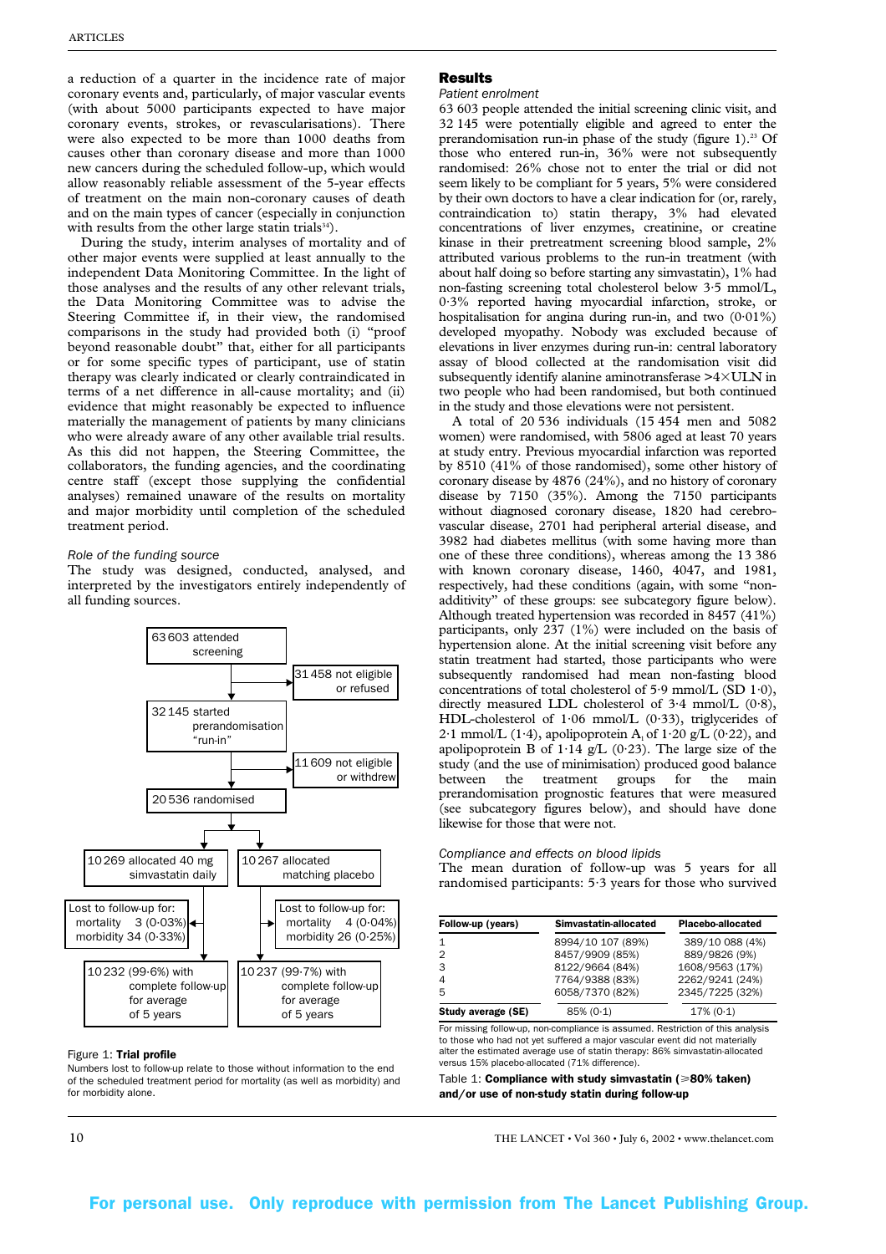a reduction of a quarter in the incidence rate of major coronary events and, particularly, of major vascular events (with about 5000 participants expected to have major coronary events, strokes, or revascularisations). There were also expected to be more than 1000 deaths from causes other than coronary disease and more than 1000 new cancers during the scheduled follow-up, which would allow reasonably reliable assessment of the 5-year effects of treatment on the main non-coronary causes of death and on the main types of cancer (especially in conjunction with results from the other large statin trials<sup>34</sup>).

During the study, interim analyses of mortality and of other major events were supplied at least annually to the independent Data Monitoring Committee. In the light of those analyses and the results of any other relevant trials, the Data Monitoring Committee was to advise the Steering Committee if, in their view, the randomised comparisons in the study had provided both (i) "proof beyond reasonable doubt" that, either for all participants or for some specific types of participant, use of statin therapy was clearly indicated or clearly contraindicated in terms of a net difference in all-cause mortality; and (ii) evidence that might reasonably be expected to influence materially the management of patients by many clinicians who were already aware of any other available trial results. As this did not happen, the Steering Committee, the collaborators, the funding agencies, and the coordinating centre staff (except those supplying the confidential analyses) remained unaware of the results on mortality and major morbidity until completion of the scheduled treatment period.

# *Role of the funding source*

The study was designed, conducted, analysed, and interpreted by the investigators entirely independently of all funding sources.



# Figure 1: Trial profile

Numbers lost to follow-up relate to those without information to the end of the scheduled treatment period for mortality (as well as morbidity) and for morbidity alone.

# **Results**

#### *Patient enrolment*

63 603 people attended the initial screening clinic visit, and 32 145 were potentially eligible and agreed to enter the prerandomisation run-in phase of the study (figure 1).<sup>23</sup> Of those who entered run-in, 36% were not subsequently randomised: 26% chose not to enter the trial or did not seem likely to be compliant for 5 years, 5% were considered by their own doctors to have a clear indication for (or, rarely, contraindication to) statin therapy, 3% had elevated concentrations of liver enzymes, creatinine, or creatine kinase in their pretreatment screening blood sample, 2% attributed various problems to the run-in treatment (with about half doing so before starting any simvastatin), 1% had non-fasting screening total cholesterol below 3·5 mmol/L, 0·3% reported having myocardial infarction, stroke, or hospitalisation for angina during run-in, and two (0·01%) developed myopathy. Nobody was excluded because of elevations in liver enzymes during run-in: central laboratory assay of blood collected at the randomisation visit did subsequently identify alanine aminotransferase  $>4\times$ ULN in two people who had been randomised, but both continued in the study and those elevations were not persistent.

A total of 20 536 individuals (15 454 men and 5082 women) were randomised, with 5806 aged at least 70 years at study entry. Previous myocardial infarction was reported by 8510 (41% of those randomised), some other history of coronary disease by 4876 (24%), and no history of coronary disease by 7150 (35%). Among the 7150 participants without diagnosed coronary disease, 1820 had cerebrovascular disease, 2701 had peripheral arterial disease, and 3982 had diabetes mellitus (with some having more than one of these three conditions), whereas among the 13 386 with known coronary disease, 1460, 4047, and 1981, respectively, had these conditions (again, with some "nonadditivity" of these groups: see subcategory figure below). Although treated hypertension was recorded in 8457 (41%) participants, only 237 (1%) were included on the basis of hypertension alone. At the initial screening visit before any statin treatment had started, those participants who were subsequently randomised had mean non-fasting blood concentrations of total cholesterol of 5·9 mmol/L (SD 1·0), directly measured LDL cholesterol of  $3.4 \text{ mmol/L}$  (0.8), HDL-cholesterol of 1·06 mmol/L (0·33), triglycerides of 2·1 mmol/L (1·4), apolipoprotein  $A_1$  of 1·20 g/L (0·22), and apolipoprotein B of 1.14  $g/L$  (0.23). The large size of the study (and the use of minimisation) produced good balance between the treatment groups prerandomisation prognostic features that were measured (see subcategory figures below), and should have done likewise for those that were not.

# *Compliance and effects on blood lipids*

The mean duration of follow-up was 5 years for all randomised participants: 5·3 years for those who survived

| Follow-up (years)  | Simvastatin-allocated | <b>Placebo-allocated</b> |
|--------------------|-----------------------|--------------------------|
| 1                  | 8994/10 107 (89%)     | 389/10 088 (4%)          |
|                    | 8457/9909 (85%)       | 889/9826 (9%)            |
| 3                  | 8122/9664 (84%)       | 1608/9563 (17%)          |
| 4                  | 7764/9388 (83%)       | 2262/9241 (24%)          |
| 5                  | 6058/7370 (82%)       | 2345/7225 (32%)          |
| Study average (SE) | $85\% (0.1)$          | $17\%$ (0.1)             |

For missing follow-up, non-compliance is assumed. Restriction of this analysis to those who had not yet suffered a major vascular event did not materially alter the estimated average use of statin therapy: 86% simvastatin-allocated versus 15% placebo-allocated (71% difference).

Table 1: Compliance with study simvastatin ( $\geq 80\%$  taken) and/or use of non-study statin during follow-up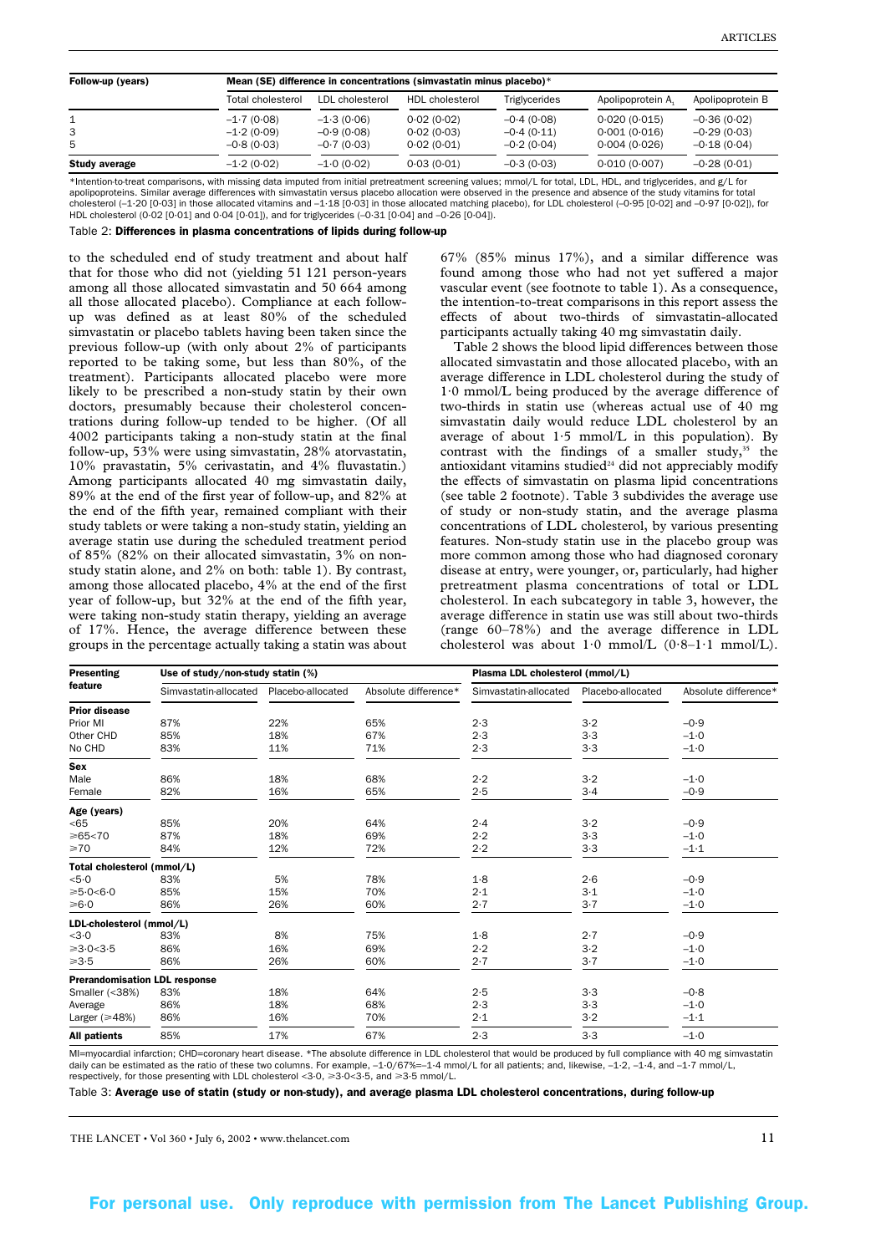| Follow-up (years) | Mean (SE) difference in concentrations (simvastatin minus placebo)*                                               |              |            |              |              |               |  |  |
|-------------------|-------------------------------------------------------------------------------------------------------------------|--------------|------------|--------------|--------------|---------------|--|--|
|                   | LDL cholesterol<br>HDL cholesterol<br>Triglycerides<br>Total cholesterol<br>Apolipoprotein B<br>Apolipoprotein A, |              |            |              |              |               |  |  |
|                   | $-1.7(0.08)$                                                                                                      | $-1.3(0.06)$ | 0.02(0.02) | $-0.4(0.08)$ | 0.020(0.015) | $-0.36(0.02)$ |  |  |
| 3                 | $-1.2(0.09)$                                                                                                      | $-0.9(0.08)$ | 0.02(0.03) | $-0.4(0.11)$ | 0.001(0.016) | $-0.29(0.03)$ |  |  |
| 5                 | $-0.8(0.03)$                                                                                                      | $-0.7(0.03)$ | 0.02(0.01) | $-0.2(0.04)$ | 0.004(0.026) | $-0.18(0.04)$ |  |  |
| Study average     | $-1.2(0.02)$                                                                                                      | $-1.0(0.02)$ | 0.03(0.01) | $-0.3(0.03)$ | 0.010(0.007) | $-0.28(0.01)$ |  |  |

\*Intention-to-treat comparisons, with missing data imputed from initial pretreatment screening values; mmol/L for total, LDL, HDL, and triglycerides, and g/L for apolipoproteins. Similar average differences with simvastatin versus placebo allocation were observed in the presence and absence of the study vitamins for total cholesterol (–1·20 [0·03] in those allocated vitamins and –1·18 [0·03] in those allocated matching placebo), for LDL cholesterol (–0·95 [0·02] and –0·97 [0·02]), for HDL cholesterol (0·02 [0·01] and 0·04 [0·01]), and for triglycerides (–0·31 [0·04] and –0·26 [0·04]).

Table 2: Differences in plasma concentrations of lipids during follow-up

to the scheduled end of study treatment and about half that for those who did not (yielding 51 121 person-years among all those allocated simvastatin and 50 664 among all those allocated placebo). Compliance at each followup was defined as at least 80% of the scheduled simvastatin or placebo tablets having been taken since the previous follow-up (with only about 2% of participants reported to be taking some, but less than 80%, of the treatment). Participants allocated placebo were more likely to be prescribed a non-study statin by their own doctors, presumably because their cholesterol concentrations during follow-up tended to be higher. (Of all 4002 participants taking a non-study statin at the final follow-up, 53% were using simvastatin, 28% atorvastatin, 10% pravastatin, 5% cerivastatin, and 4% fluvastatin.) Among participants allocated 40 mg simvastatin daily, 89% at the end of the first year of follow-up, and 82% at the end of the fifth year, remained compliant with their study tablets or were taking a non-study statin, yielding an average statin use during the scheduled treatment period of 85% (82% on their allocated simvastatin, 3% on nonstudy statin alone, and 2% on both: table 1). By contrast, among those allocated placebo, 4% at the end of the first year of follow-up, but 32% at the end of the fifth year, were taking non-study statin therapy, yielding an average of 17%. Hence, the average difference between these groups in the percentage actually taking a statin was about 67% (85% minus 17%), and a similar difference was found among those who had not yet suffered a major vascular event (see footnote to table 1). As a consequence, the intention-to-treat comparisons in this report assess the effects of about two-thirds of simvastatin-allocated participants actually taking 40 mg simvastatin daily.

Table 2 shows the blood lipid differences between those allocated simvastatin and those allocated placebo, with an average difference in LDL cholesterol during the study of 1·0 mmol/L being produced by the average difference of two-thirds in statin use (whereas actual use of 40 mg simvastatin daily would reduce LDL cholesterol by an average of about  $1.5 \text{ mmol/L}$  in this population). By contrast with the findings of a smaller study, $35$  the antioxidant vitamins studied<sup>24</sup> did not appreciably modify the effects of simvastatin on plasma lipid concentrations (see table 2 footnote). Table 3 subdivides the average use of study or non-study statin, and the average plasma concentrations of LDL cholesterol, by various presenting features. Non-study statin use in the placebo group was more common among those who had diagnosed coronary disease at entry, were younger, or, particularly, had higher pretreatment plasma concentrations of total or LDL cholesterol. In each subcategory in table 3, however, the average difference in statin use was still about two-thirds (range 60–78%) and the average difference in LDL cholesterol was about  $1.0 \text{ mmol/L}$  (0.8-1.1 mmol/L).

| <b>Presenting</b><br>Use of study/non-study statin (%) |                       |                   |                      | Plasma LDL cholesterol (mmol/L) |                   |                      |
|--------------------------------------------------------|-----------------------|-------------------|----------------------|---------------------------------|-------------------|----------------------|
| feature                                                | Simvastatin-allocated | Placebo-allocated | Absolute difference* | Simvastatin-allocated           | Placebo-allocated | Absolute difference* |
| <b>Prior disease</b>                                   |                       |                   |                      |                                 |                   |                      |
| Prior MI                                               | 87%                   | 22%               | 65%                  | 2.3                             | 3.2               | $-0.9$               |
| Other CHD                                              | 85%                   | 18%               | 67%                  | 2.3                             | 3.3               | $-1.0$               |
| No CHD                                                 | 83%                   | 11%               | 71%                  | 2.3                             | 3.3               | $-1.0$               |
| <b>Sex</b>                                             |                       |                   |                      |                                 |                   |                      |
| Male                                                   | 86%                   | 18%               | 68%                  | 2.2                             | 3.2               | $-1.0$               |
| Female                                                 | 82%                   | 16%               | 65%                  | 2.5                             | 3.4               | $-0.9$               |
| Age (years)                                            |                       |                   |                      |                                 |                   |                      |
| < 65                                                   | 85%                   | 20%               | 64%                  | 2.4                             | 3.2               | $-0.9$               |
| ≥65 < 70                                               | 87%                   | 18%               | 69%                  | 2.2                             | 3.3               | $-1.0$               |
| $\geq 70$                                              | 84%                   | 12%               | 72%                  | 2.2                             | 3.3               | $-1.1$               |
| Total cholesterol (mmol/L)                             |                       |                   |                      |                                 |                   |                      |
| < 5.0                                                  | 83%                   | 5%                | 78%                  | 1.8                             | 2.6               | $-0.9$               |
| $\geq 5.0 < 6.0$                                       | 85%                   | 15%               | 70%                  | 2.1                             | $3-1$             | $-1.0$               |
| ≥6.0                                                   | 86%                   | 26%               | 60%                  | 2.7                             | $3-7$             | $-1.0$               |
| LDL-cholesterol (mmol/L)                               |                       |                   |                      |                                 |                   |                      |
| <3.0                                                   | 83%                   | 8%                | 75%                  | 1.8                             | 2.7               | $-0.9$               |
| ≥3.0 < 3.5                                             | 86%                   | 16%               | 69%                  | 2.2                             | 3.2               | $-1.0$               |
| ≥3.5                                                   | 86%                   | 26%               | 60%                  | 2.7                             | $3-7$             | $-1.0$               |
| <b>Prerandomisation LDL response</b>                   |                       |                   |                      |                                 |                   |                      |
| Smaller (<38%)                                         | 83%                   | 18%               | 64%                  | 2.5                             | 3.3               | $-0.8$               |
| Average                                                | 86%                   | 18%               | 68%                  | 2.3                             | 3.3               | $-1.0$               |
| Larger ( $\geq 48\%$ )                                 | 86%                   | 16%               | 70%                  | 2.1                             | 3·2               | $-1.1$               |
| <b>All patients</b>                                    | 85%                   | 17%               | 67%                  | 2.3                             | 3.3               | $-1.0$               |

MI=myocardial infarction; CHD=coronary heart disease. \*The absolute difference in LDL cholesterol that would be produced by full compliance with 40 mg simvastatin daily can be estimated as the ratio of these two columns. For example, -1·0/67%=-1·4 mmol/L for all patients; and, likewise, -1·2, -1·4, and -1·7 mmol/L, respectively, for those presenting with LDL cholesterol <3.0,  $\geq$ 3.0<3.5, and  $\geq$ 3.5 mmol/L.

Table 3: Average use of statin (study or non-study), and average plasma LDL cholesterol concentrations, during follow-up

THE LANCET  $\cdot$  Vol 360  $\cdot$  July 6, 2002  $\cdot$  www.thelancet.com 11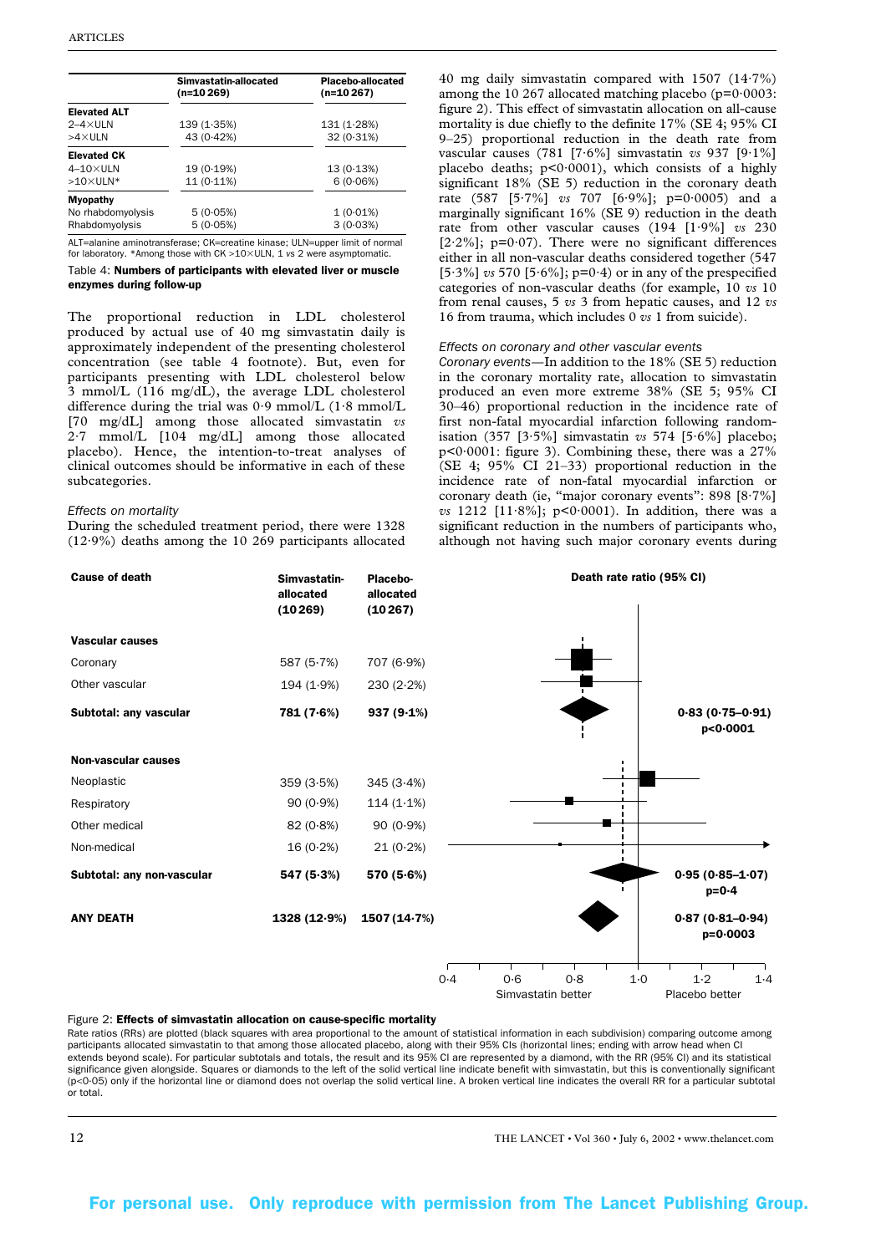|                     | Simvastatin-allocated<br>(n=10 269) | Placebo-allocated<br>(n=10 267) |
|---------------------|-------------------------------------|---------------------------------|
| <b>Elevated ALT</b> |                                     |                                 |
| $2 - 4 \times$ ULN  | 139(1.35%)                          | 131(1.28%)                      |
| $>4\times$ ULN      | 43 (0.42%)                          | 32(0.31%)                       |
| <b>Elevated CK</b>  |                                     |                                 |
| $4-10\times$ ULN    | 19(0.19%)                           | 13(0.13%)                       |
| $>10\times$ ULN*    | $11(0.11\%)$                        | 6(0.06%)                        |
| Myopathy            |                                     |                                 |
| No rhabdomyolysis   | 5(0.05%)                            | $1(0.01\%)$                     |
| Rhabdomyolysis      | 5(0.05%)                            | 3(0.03%)                        |

ALT=alanine aminotransferase; CK=creatine kinase; ULN=upper limit of normal for laboratory. \*Among those with CK >10×ULN, 1 vs 2 were asymptomatic.

# Table 4: Numbers of participants with elevated liver or muscle enzymes during follow-up

The proportional reduction in LDL cholesterol produced by actual use of 40 mg simvastatin daily is approximately independent of the presenting cholesterol concentration (see table 4 footnote). But, even for participants presenting with LDL cholesterol below 3 mmol/L (116 mg/dL), the average LDL cholesterol difference during the trial was 0·9 mmol/L (1·8 mmol/L [70 mg/dL] among those allocated simvastatin *vs* 2·7 mmol/L [104 mg/dL] among those allocated placebo). Hence, the intention-to-treat analyses of clinical outcomes should be informative in each of these subcategories.

#### *Effects on mortality*

During the scheduled treatment period, there were 1328 (12·9%) deaths among the 10 269 participants allocated 40 mg daily simvastatin compared with 1507 (14·7%) among the 10 267 allocated matching placebo ( $p=0.0003$ : figure 2). This effect of simvastatin allocation on all-cause mortality is due chiefly to the definite 17% (SE 4; 95% CI 9–25) proportional reduction in the death rate from vascular causes (781 [7·6%] simvastatin *vs* 937 [9·1%] placebo deaths;  $p<0.0001$ ), which consists of a highly significant 18% (SE 5) reduction in the coronary death rate (587 [5·7%] *vs* 707 [6·9%]; p=0·0005) and a marginally significant 16% (SE 9) reduction in the death rate from other vascular causes (194 [1·9%] *vs* 230  $[2.2\%]$ ; p=0.07). There were no significant differences either in all non-vascular deaths considered together (547 [5·3%] *vs* 570 [5·6%]; p=0·4) or in any of the prespecified categories of non-vascular deaths (for example, 10 *vs* 10 from renal causes, 5 *vs* 3 from hepatic causes, and 12 *vs* 16 from trauma, which includes 0 *vs* 1 from suicide).

# *Effects on coronary and other vascular events*

*Coronary events—*In addition to the 18% (SE 5) reduction in the coronary mortality rate, allocation to simvastatin produced an even more extreme 38% (SE 5; 95% CI 30–46) proportional reduction in the incidence rate of first non-fatal myocardial infarction following randomisation (357 [3·5%] simvastatin *vs* 574 [5·6%] placebo;  $p<0.0001$ : figure 3). Combining these, there was a 27% (SE 4; 95% CI 21–33) proportional reduction in the incidence rate of non-fatal myocardial infarction or coronary death (ie, "major coronary events": 898 [8·7%] *vs* 1212 [11·8%]; p<0·0001). In addition, there was a significant reduction in the numbers of participants who, although not having such major coronary events during

| <b>Cause of death</b>      | Simvastatin-<br>allocated<br>(10269) | Placebo-<br>allocated<br>(10267) |     |                    |     |       | Death rate ratio (95% CI)           |     |
|----------------------------|--------------------------------------|----------------------------------|-----|--------------------|-----|-------|-------------------------------------|-----|
| <b>Vascular causes</b>     |                                      |                                  |     |                    |     |       |                                     |     |
| Coronary                   | 587 (5.7%)                           | 707 (6.9%)                       |     |                    |     |       |                                     |     |
| Other vascular             | 194(1.9%)                            | 230(2.2%)                        |     |                    |     |       |                                     |     |
| Subtotal: any vascular     | 781 (7.6%)                           | 937 (9-1%)                       |     |                    |     |       | $0.83(0.75 - 0.91)$<br>p<0.0001     |     |
| <b>Non-vascular causes</b> |                                      |                                  |     |                    |     |       |                                     |     |
| Neoplastic                 | 359(3.5%)                            | 345(3.4%)                        |     |                    |     |       |                                     |     |
| Respiratory                | 90(0.9%)                             | $114(1.1\%)$                     |     |                    |     |       |                                     |     |
| Other medical              | 82 (0.8%)                            | $90(0.9\%)$                      |     |                    |     |       |                                     |     |
| Non-medical                | 16(0.2%)                             | 21(0.2%)                         |     |                    |     |       |                                     |     |
| Subtotal: any non-vascular | 547 (5-3%)                           | 570(5.6%)                        |     |                    |     |       | $0.95(0.85 - 1.07)$<br>$p = 0.4$    |     |
| <b>ANY DEATH</b>           | 1328 (12.9%)                         | 1507 (14.7%)                     |     |                    |     |       | $0.87(0.81 - 0.94)$<br>$p = 0.0003$ |     |
|                            |                                      |                                  | 0.4 | 0.6                | 0.8 | $1-0$ | 1·2                                 | 1.4 |
|                            |                                      |                                  |     | Simvastatin better |     |       | Placebo better                      |     |

#### Figure 2: Effects of simvastatin allocation on cause-specific mortality

Rate ratios (RRs) are plotted (black squares with area proportional to the amount of statistical information in each subdivision) comparing outcome among participants allocated simvastatin to that among those allocated placebo, along with their 95% CIs (horizontal lines; ending with arrow head when CI extends beyond scale). For particular subtotals and totals, the result and its 95% CI are represented by a diamond, with the RR (95% CI) and its statistical significance given alongside. Squares or diamonds to the left of the solid vertical line indicate benefit with simvastatin, but this is conventionally significant (p<0·05) only if the horizontal line or diamond does not overlap the solid vertical line. A broken vertical line indicates the overall RR for a particular subtotal or total.

<sup>12</sup> THE LANCET • Vol 360 • July 6, 2002 • www.thelancet.com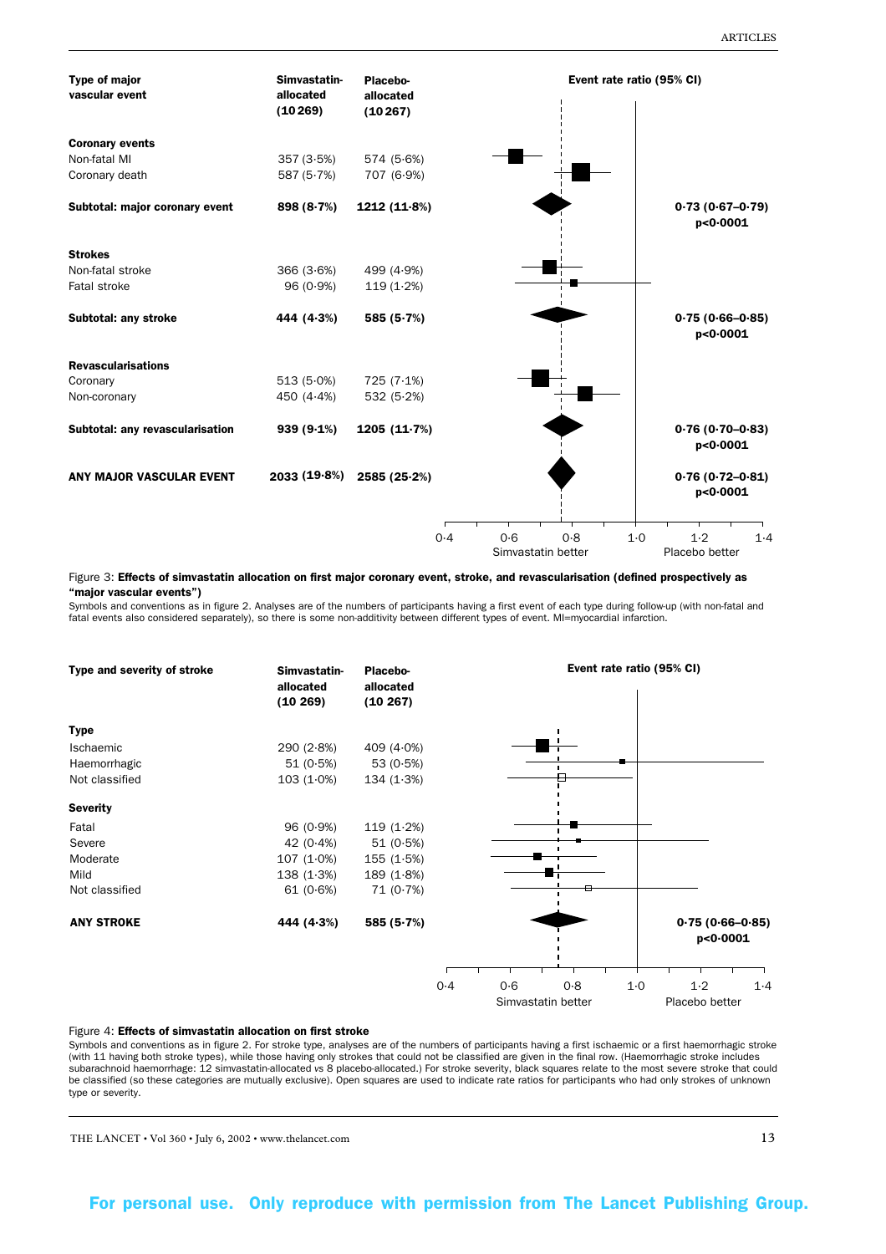

Figure 3: Effects of simvastatin allocation on first major coronary event, stroke, and revascularisation (defined prospectively as "major vascular events")

Symbols and conventions as in figure 2. Analyses are of the numbers of participants having a first event of each type during follow-up (with non-fatal and fatal events also considered separately), so there is some non-additivity between different types of event. MI=myocardial infarction.



#### Figure 4: Effects of simvastatin allocation on first stroke

Symbols and conventions as in figure 2. For stroke type, analyses are of the numbers of participants having a first ischaemic or a first haemorrhagic stroke (with 11 having both stroke types), while those having only strokes that could not be classified are given in the final row. (Haemorrhagic stroke includes subarachnoid haemorrhage: 12 simvastatin-allocated *vs* 8 placebo-allocated.) For stroke severity, black squares relate to the most severe stroke that could be classified (so these categories are mutually exclusive). Open squares are used to indicate rate ratios for participants who had only strokes of unknown type or severity.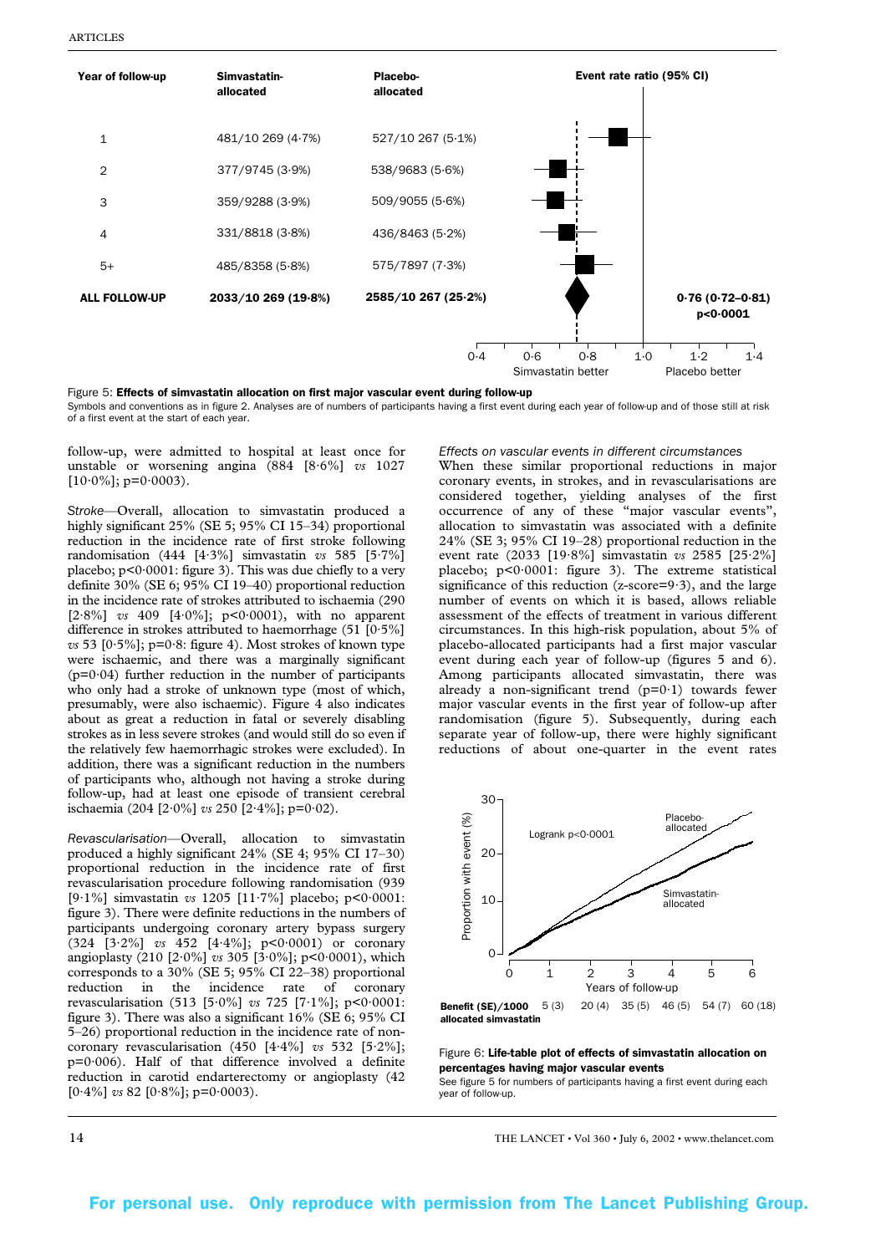

Figure 5: Effects of simvastatin allocation on first major vascular event during follow-up

Symbols and conventions as in figure 2. Analyses are of numbers of participants having a first event during each year of follow-up and of those still at risk of a first event at the start of each year.

follow-up, were admitted to hospital at least once for unstable or worsening angina (884 [8·6%] *vs* 1027  $[10.0\%]$ ; p=0.0003).

*Stroke—*Overall, allocation to simvastatin produced a highly significant 25% (SE 5; 95% CI 15–34) proportional reduction in the incidence rate of first stroke following randomisation (444 [4·3%] simvastatin *vs* 585 [5·7%] placebo; p<0·0001: figure 3). This was due chiefly to a very definite 30% (SE 6; 95% CI 19–40) proportional reduction in the incidence rate of strokes attributed to ischaemia (290 [2·8%] *vs* 409 [4·0%]; p<0·0001), with no apparent difference in strokes attributed to haemorrhage (51 [0·5%] *vs* 53 [0·5%]; p=0·8: figure 4). Most strokes of known type were ischaemic, and there was a marginally significant  $(p=0.04)$  further reduction in the number of participants who only had a stroke of unknown type (most of which, presumably, were also ischaemic). Figure 4 also indicates about as great a reduction in fatal or severely disabling strokes as in less severe strokes (and would still do so even if the relatively few haemorrhagic strokes were excluded). In addition, there was a significant reduction in the numbers of participants who, although not having a stroke during follow-up, had at least one episode of transient cerebral ischaemia (204 [2·0%] *vs* 250 [2·4%]; p=0·02).

*Revascularisation*—Overall, allocation to simvastatin produced a highly significant 24% (SE 4; 95% CI 17–30) proportional reduction in the incidence rate of first revascularisation procedure following randomisation (939 [9·1%] simvastatin *vs* 1205 [11·7%] placebo; p<0·0001: figure 3). There were definite reductions in the numbers of participants undergoing coronary artery bypass surgery (324 [3·2%] *vs* 452 [4·4%]; p<0·0001) or coronary angioplasty (210 [2·0%] *vs* 305 [3·0%]; p<0·0001), which corresponds to a 30% (SE 5; 95% CI 22–38) proportional reduction in the incidence rate of coronary revascularisation (513 [5·0%] *vs* 725 [7·1%]; p<0·0001: figure 3). There was also a significant 16% (SE 6; 95% CI 5–26) proportional reduction in the incidence rate of noncoronary revascularisation (450 [4·4%] *vs* 532 [5·2%]; p=0·006). Half of that difference involved a definite reduction in carotid endarterectomy or angioplasty (42 [0·4%] *vs* 82 [0·8%]; p=0·0003).

*Effects on vascular events in different circumstances* When these similar proportional reductions in major coronary events, in strokes, and in revascularisations are considered together, yielding analyses of the first occurrence of any of these "major vascular events", allocation to simvastatin was associated with a definite 24% (SE 3; 95% CI 19–28) proportional reduction in the event rate (2033 [19·8%] simvastatin *vs* 2585 [25·2%] placebo; p<0·0001: figure 3). The extreme statistical significance of this reduction  $(z\text{-score}=9.3)$ , and the large number of events on which it is based, allows reliable assessment of the effects of treatment in various different circumstances. In this high-risk population, about 5% of placebo-allocated participants had a first major vascular event during each year of follow-up (figures 5 and 6). Among participants allocated simvastatin, there was already a non-significant trend (p=0·1) towards fewer major vascular events in the first year of follow-up after randomisation (figure 5). Subsequently, during each separate year of follow-up, there were highly significant reductions of about one-quarter in the event rates



Figure 6: Life-table plot of effects of simvastatin allocation on percentages having major vascular events

See figure 5 for numbers of participants having a first event during each year of follow-up.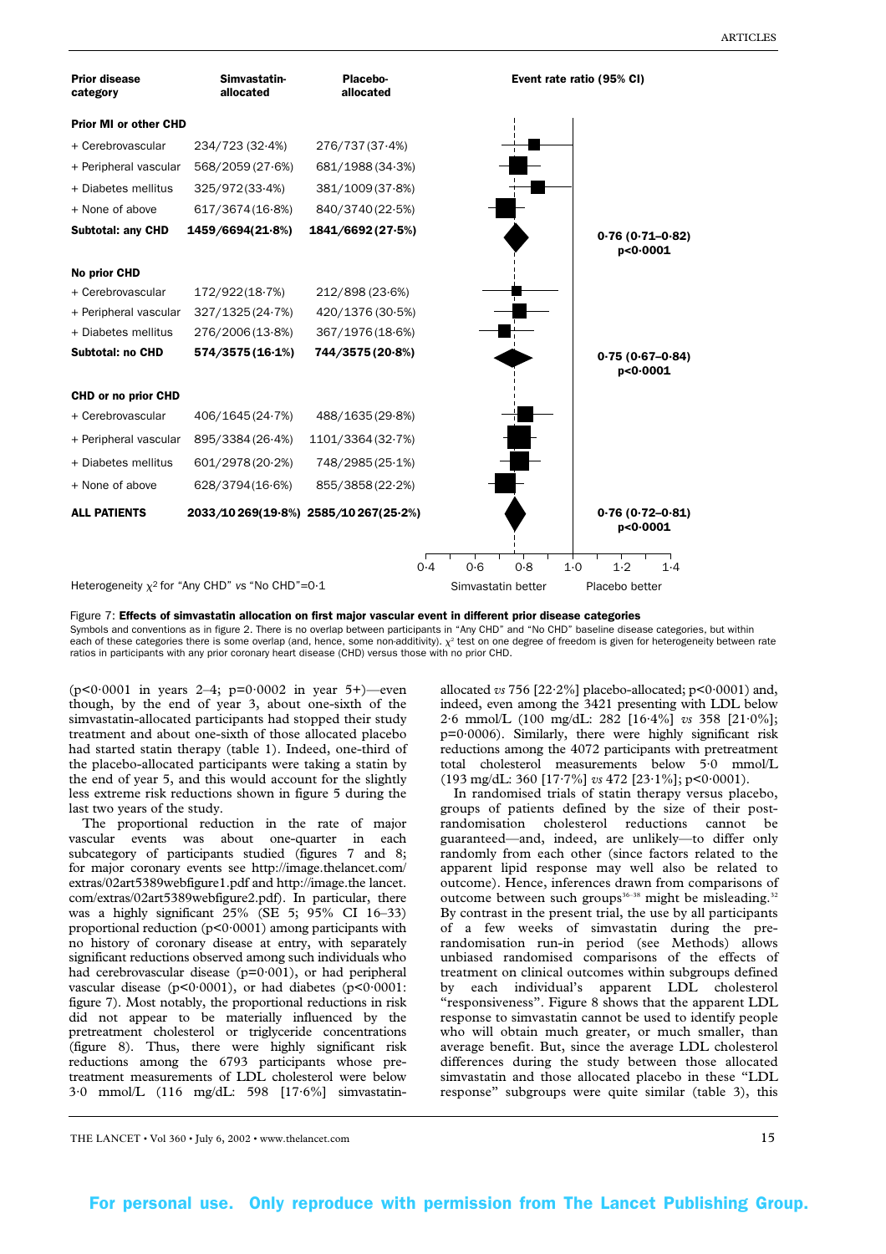

Figure 7: Effects of simvastatin allocation on first major vascular event in different prior disease categories Symbols and conventions as in figure 2. There is no overlap between participants in "Any CHD" and "No CHD" baseline disease categories, but within each of these categories there is some overlap (and, hence, some non-additivity).  $\chi^2$  test on one degree of freedom is given for heterogeneity between rate ratios in participants with any prior coronary heart disease (CHD) versus those with no prior CHD.

(p<0·0001 in years 2–4; p=0·0002 in year 5+)—even though, by the end of year 3, about one-sixth of the simvastatin-allocated participants had stopped their study treatment and about one-sixth of those allocated placebo had started statin therapy (table 1). Indeed, one-third of the placebo-allocated participants were taking a statin by the end of year 5, and this would account for the slightly less extreme risk reductions shown in figure 5 during the last two years of the study.

The proportional reduction in the rate of major vascular events was about one-quarter in each subcategory of participants studied (figures 7 and 8; for major coronary events see http://image.thelancet.com/ extras/02art5389webfigure1.pdf and http://image.the lancet. com/extras/02art5389webfigure2.pdf). In particular, there was a highly significant 25% (SE 5; 95% CI 16–33) proportional reduction (p<0·0001) among participants with no history of coronary disease at entry, with separately significant reductions observed among such individuals who had cerebrovascular disease  $(p=0.001)$ , or had peripheral vascular disease (p<0·0001), or had diabetes (p<0·0001: figure 7). Most notably, the proportional reductions in risk did not appear to be materially influenced by the pretreatment cholesterol or triglyceride concentrations (figure 8). Thus, there were highly significant risk reductions among the 6793 participants whose pretreatment measurements of LDL cholesterol were below 3·0 mmol/L (116 mg/dL: 598 [17·6%] simvastatinallocated *vs* 756 [22·2%] placebo-allocated; p<0·0001) and, indeed, even among the 3421 presenting with LDL below 2·6 mmol/L (100 mg/dL: 282 [16·4%] *vs* 358 [21·0%]; p=0·0006). Similarly, there were highly significant risk reductions among the 4072 participants with pretreatment total cholesterol measurements below 5·0 mmol/L (193 mg/dL: 360 [17·7%] *vs* 472 [23·1%]; p<0·0001).

In randomised trials of statin therapy versus placebo, groups of patients defined by the size of their postrandomisation cholesterol reductions cannot be guaranteed—and, indeed, are unlikely—to differ only randomly from each other (since factors related to the apparent lipid response may well also be related to outcome). Hence, inferences drawn from comparisons of outcome between such groups<sup>36–38</sup> might be misleading.<sup>32</sup> By contrast in the present trial, the use by all participants of a few weeks of simvastatin during the prerandomisation run-in period (see Methods) allows unbiased randomised comparisons of the effects of treatment on clinical outcomes within subgroups defined by each individual's apparent LDL cholesterol "responsiveness". Figure 8 shows that the apparent LDL response to simvastatin cannot be used to identify people who will obtain much greater, or much smaller, than average benefit. But, since the average LDL cholesterol differences during the study between those allocated simvastatin and those allocated placebo in these "LDL response" subgroups were quite similar (table 3), this

THE LANCET • Vol 360 • July 6, 2002 • www.thelancet.com 15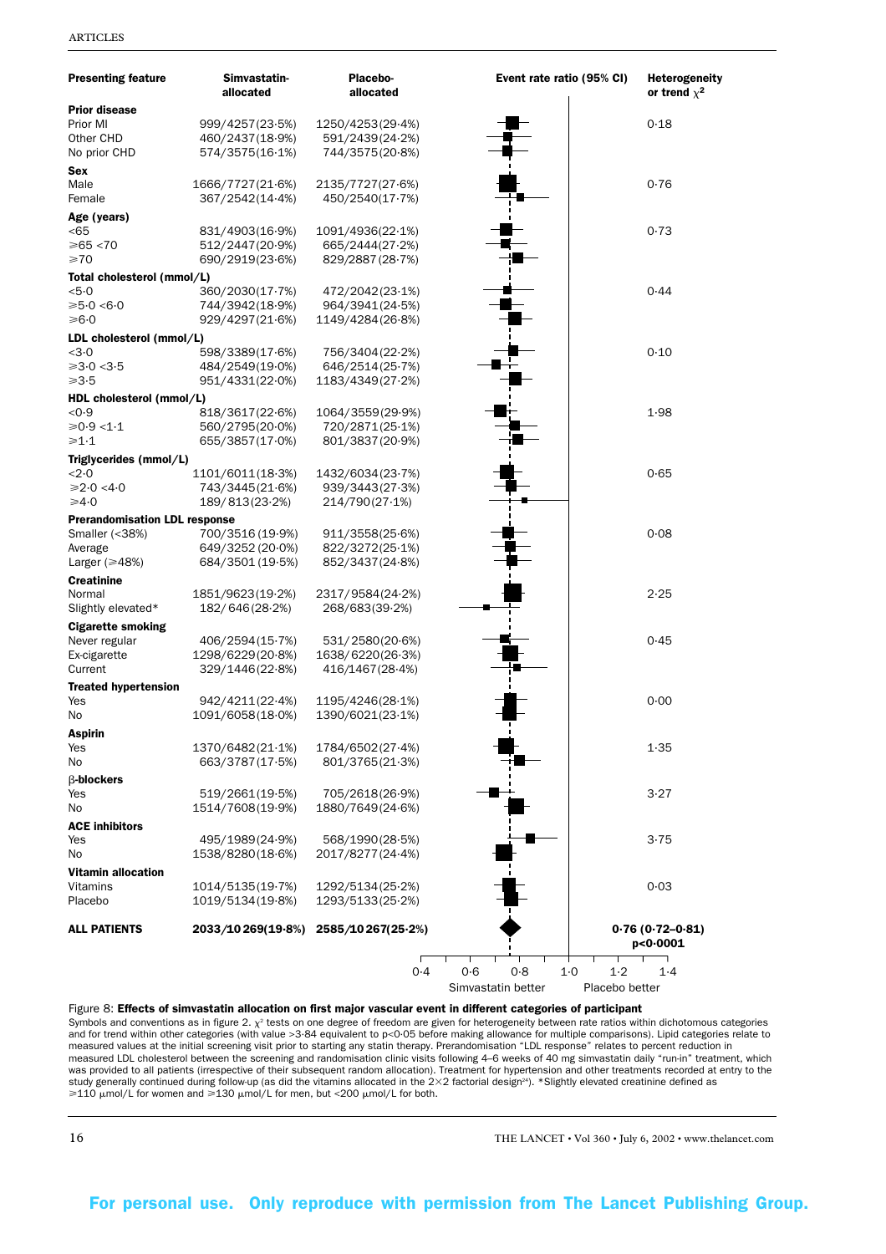| <b>Presenting feature</b>            | Simvastatin-<br>allocated | <b>Placebo-</b><br>allocated | Event rate ratio (95% CI)            | <b>Heterogeneity</b><br>or trend $\chi^2$ |
|--------------------------------------|---------------------------|------------------------------|--------------------------------------|-------------------------------------------|
| Prior disease                        |                           |                              |                                      |                                           |
| Prior MI                             | 999/4257(23.5%)           | 1250/4253(29-4%)             |                                      | 0.18                                      |
| Other CHD                            | 460/2437(18.9%)           | 591/2439(24-2%)              |                                      |                                           |
| No prior CHD                         | 574/3575(16.1%)           | 744/3575(20-8%)              |                                      |                                           |
| Sex                                  |                           |                              |                                      |                                           |
| Male                                 | 1666/7727(21.6%)          | 2135/7727(27.6%)             |                                      | 0.76                                      |
| Female                               | 367/2542(14-4%)           | 450/2540(17.7%)              |                                      |                                           |
| Age (years)                          |                           |                              |                                      |                                           |
| <65                                  | 831/4903(16.9%)           | 1091/4936(22.1%)             |                                      | 0.73                                      |
| ≥65 < 70                             | 512/2447(20.9%)           | 665/2444(27.2%)              |                                      |                                           |
| ≥70                                  | 690/2919(23.6%)           | 829/2887 (28.7%)             |                                      |                                           |
|                                      |                           |                              |                                      |                                           |
| Total cholesterol (mmol/L)           |                           |                              |                                      |                                           |
| <5∙0                                 | 360/2030(17.7%)           | 472/2042(23-1%)              |                                      | 0.44                                      |
| ≳5⋅0 <6⋅0                            | 744/3942(18.9%)           | 964/3941(24.5%)              |                                      |                                           |
| ≥6∙0                                 | 929/4297(21.6%)           | 1149/4284(26.8%)             |                                      |                                           |
| LDL cholesterol (mmol/L)             |                           |                              |                                      |                                           |
| <3∙0                                 | 598/3389(17.6%)           | 756/3404(22-2%)              |                                      | 0.10                                      |
| ≥3.0 < 3.5                           | 484/2549(19.0%)           | 646/2514(25.7%)              |                                      |                                           |
| ≥3.5                                 | 951/4331(22.0%)           | 1183/4349(27.2%)             |                                      |                                           |
| HDL cholesterol (mmol/L)             |                           |                              |                                      |                                           |
| <0∙9                                 | 818/3617(22.6%)           | 1064/3559(29.9%)             |                                      | 1.98                                      |
| ≽0∙9 <1∙1                            | 560/2795(20.0%)           | 720/2871(25.1%)              |                                      |                                           |
| ≥1∙1                                 | 655/3857(17.0%)           | 801/3837(20.9%)              |                                      |                                           |
|                                      |                           |                              |                                      |                                           |
| Triglycerides (mmol/L)               |                           |                              |                                      |                                           |
| <2∙0                                 | 1101/6011(18.3%)          | 1432/6034(23-7%)             |                                      | 0.65                                      |
| ≥2.0 < 4.0                           | 743/3445(21.6%)           | 939/3443(27.3%)              |                                      |                                           |
| $\geq 4.0$                           | 189/813(23-2%)            | 214/790(27.1%)               |                                      |                                           |
| <b>Prerandomisation LDL response</b> |                           |                              |                                      |                                           |
| Smaller (<38%)                       | 700/3516 (19.9%)          | 911/3558(25.6%)              |                                      | 0.08                                      |
| Average                              | 649/3252 (20.0%)          | 822/3272(25-1%)              |                                      |                                           |
| Larger ( $\geq 48\%$ )               | 684/3501 (19.5%)          | 852/3437(24.8%)              |                                      |                                           |
| Creatinine                           |                           |                              |                                      |                                           |
| Normal                               | 1851/9623(19-2%)          | 2317/9584(24-2%)             |                                      | 2.25                                      |
| Slightly elevated*                   | 182/646(28-2%)            | 268/683(39-2%)               |                                      |                                           |
| <b>Cigarette smoking</b>             |                           |                              |                                      |                                           |
| Never regular                        | 406/2594(15-7%)           | 531/2580(20.6%)              |                                      | 0.45                                      |
| Ex-cigarette                         | 1298/6229(20-8%)          | 1638/6220(26.3%)             |                                      |                                           |
| Current                              | 329/1446(22-8%)           | 416/1467(28-4%)              |                                      |                                           |
|                                      |                           |                              |                                      |                                           |
| <b>Treated hypertension</b>          |                           |                              |                                      |                                           |
| Yes                                  | 942/4211(22-4%)           | 1195/4246(28-1%)             |                                      | 0.00                                      |
| No                                   | 1091/6058(18-0%)          | 1390/6021(23-1%)             |                                      |                                           |
| Aspirin                              |                           |                              |                                      |                                           |
| Yes                                  | 1370/6482(21.1%)          | 1784/6502(27.4%)             |                                      | 1.35                                      |
| No                                   | 663/3787(17.5%)           | 801/3765(21.3%)              |                                      |                                           |
| $\beta$ -blockers                    |                           |                              |                                      |                                           |
| Yes                                  | 519/2661(19.5%)           | 705/2618(26-9%)              |                                      | 3.27                                      |
| No                                   | 1514/7608(19-9%)          | 1880/7649(24.6%)             |                                      |                                           |
|                                      |                           |                              |                                      |                                           |
| ACE inhibitors                       |                           |                              |                                      |                                           |
| Yes                                  | 495/1989(24.9%)           | 568/1990(28.5%)              |                                      | 3.75                                      |
| No                                   | 1538/8280(18.6%)          | 2017/8277(24-4%)             |                                      |                                           |
| Vitamin allocation                   |                           |                              |                                      |                                           |
| Vitamins                             | 1014/5135(19.7%)          | 1292/5134(25-2%)             |                                      | 0.03                                      |
| Placebo                              | 1019/5134(19.8%)          | 1293/5133(25-2%)             |                                      |                                           |
|                                      |                           |                              |                                      |                                           |
| ALL PATIENTS                         | 2033/10 269(19.8%)        | 2585/10267(25-2%)            |                                      | $0.76(0.72 - 0.81)$                       |
|                                      |                           |                              |                                      | p<0.0001                                  |
|                                      |                           |                              |                                      | ┑                                         |
|                                      |                           | 0.4                          | 0.6<br>0.8<br>$1-0$<br>1·2           | $1-4$                                     |
|                                      |                           |                              | Placebo better<br>Simvastatin better |                                           |

Figure 8: Effects of simvastatin allocation on first major vascular event in different categories of participant Symbols and conventions as in figure 2.  $\chi^2$  tests on one degree of freedom are given for heterogeneity between rate ratios within dichotomous categories and for trend within other categories (with value >3·84 equivalent to p<0·05 before making allowance for multiple comparisons). Lipid categories relate to measured values at the initial screening visit prior to starting any statin therapy. Prerandomisation "LDL response" relates to percent reduction in measured LDL cholesterol between the screening and randomisation clinic visits following 4–6 weeks of 40 mg simvastatin daily "run-in" treatment, which was provided to all patients (irrespective of their subsequent random allocation). Treatment for hypertension and other treatments recorded at entry to the<br>study generally continued during follow-up (as did the vitamins al ≥110 μmol/L for women and ≥130 μmol/L for men, but <200 μmol/L for both.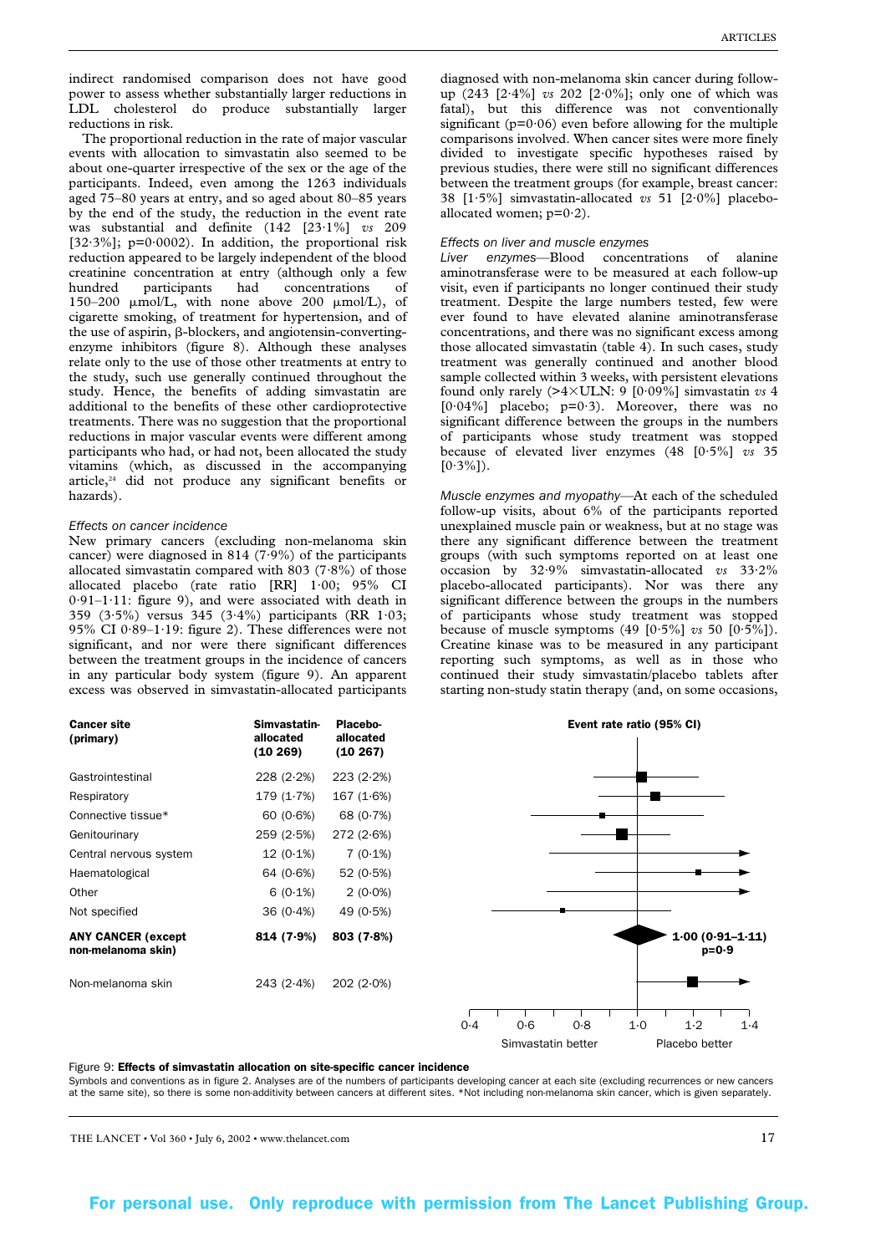indirect randomised comparison does not have good power to assess whether substantially larger reductions in LDL cholesterol do produce substantially larger reductions in risk.

The proportional reduction in the rate of major vascular events with allocation to simvastatin also seemed to be about one-quarter irrespective of the sex or the age of the participants. Indeed, even among the 1263 individuals aged 75–80 years at entry, and so aged about 80–85 years by the end of the study, the reduction in the event rate was substantial and definite (142 [23·1%] *vs* 209 [ $32.3\%$ ]; p=0.0002). In addition, the proportional risk reduction appeared to be largely independent of the blood creatinine concentration at entry (although only a few hundred participants had concentrations of 150–200  $\mu$ mol/L, with none above 200  $\mu$ mol/L), of cigarette smoking, of treatment for hypertension, and of the use of aspirin,  $\beta$ -blockers, and angiotensin-convertingenzyme inhibitors (figure 8). Although these analyses relate only to the use of those other treatments at entry to the study, such use generally continued throughout the study. Hence, the benefits of adding simvastatin are additional to the benefits of these other cardioprotective treatments. There was no suggestion that the proportional reductions in major vascular events were different among participants who had, or had not, been allocated the study vitamins (which, as discussed in the accompanying article,<sup>24</sup> did not produce any significant benefits or hazards).

# *Effects on cancer incidence*

New primary cancers (excluding non-melanoma skin cancer) were diagnosed in 814 (7·9%) of the participants allocated simvastatin compared with 803  $(7.8\%)$  of those allocated placebo (rate ratio [RR] 1·00; 95% CI 0·91–1·11: figure 9), and were associated with death in 359 (3·5%) versus 345 (3·4%) participants (RR 1·03; 95% CI 0·89–1·19: figure 2). These differences were not significant, and nor were there significant differences between the treatment groups in the incidence of cancers in any particular body system (figure 9). An apparent excess was observed in simvastatin-allocated participants

| <b>Cancer site</b><br>(primary)                  | Simvastatin-<br>allocated<br>(10269) | Placebo-<br>allocated<br>(10267) |
|--------------------------------------------------|--------------------------------------|----------------------------------|
| Gastrointestinal                                 | 228 (2.2%)                           | 223(2.2%)                        |
| Respiratory                                      | 179(1.7%)                            | 167(1.6%)                        |
| Connective tissue*                               | 60(0.6%)                             | 68 (0.7%)                        |
| Genitourinary                                    | 259 (2.5%)                           | 272 (2.6%)                       |
| Central nervous system                           | $12(0.1\%)$                          | $7(0.1\%)$                       |
| Haematological                                   | 64 (0.6%)                            | 52 (0.5%)                        |
| Other                                            | $6(0.1\%)$                           | $2(0.0\%)$                       |
| Not specified                                    | 36 (0.4%)                            | 49 (0.5%)                        |
| <b>ANY CANCER (except)</b><br>non-melanoma skin) | 814 (7.9%)                           | 803 (7.8%)                       |
| Non-melanoma skin                                | 243 (2.4%)                           | $202(2.0\%)$                     |

diagnosed with non-melanoma skin cancer during followup (243 [2·4%] *vs* 202 [2·0%]; only one of which was fatal), but this difference was not conventionally significant ( $p=0.06$ ) even before allowing for the multiple comparisons involved. When cancer sites were more finely divided to investigate specific hypotheses raised by previous studies, there were still no significant differences between the treatment groups (for example, breast cancer: 38 [1·5%] simvastatin-allocated *vs* 51 [2·0%] placeboallocated women;  $p=0.2$ ).

#### *Effects on liver and muscle enzymes*

*Liver enzymes*—Blood concentrations of alanine aminotransferase were to be measured at each follow-up visit, even if participants no longer continued their study treatment. Despite the large numbers tested, few were ever found to have elevated alanine aminotransferase concentrations, and there was no significant excess among those allocated simvastatin (table 4). In such cases, study treatment was generally continued and another blood sample collected within 3 weeks, with persistent elevations found only rarely  $(>4\times$ ULN: 9 [0·09%] simvastatin *vs* 4  $[0.04\%]$  placebo;  $p=0.3$ ). Moreover, there was no significant difference between the groups in the numbers of participants whose study treatment was stopped because of elevated liver enzymes (48 [0·5%] *vs* 35  $[0.3\%]$ ).

*Muscle enzymes and myopathy—*At each of the scheduled follow-up visits, about 6% of the participants reported unexplained muscle pain or weakness, but at no stage was there any significant difference between the treatment groups (with such symptoms reported on at least one occasion by 32·9% simvastatin-allocated *vs* 33·2% placebo-allocated participants). Nor was there any significant difference between the groups in the numbers of participants whose study treatment was stopped because of muscle symptoms (49 [0·5%] *vs* 50 [0·5%]). Creatine kinase was to be measured in any participant reporting such symptoms, as well as in those who continued their study simvastatin/placebo tablets after starting non-study statin therapy (and, on some occasions,



#### Figure 9: Effects of simvastatin allocation on site-specific cancer incidence

Symbols and conventions as in figure 2. Analyses are of the numbers of participants developing cancer at each site (excluding recurrences or new cancers at the same site), so there is some non-additivity between cancers at different sites. \*Not including non-melanoma skin cancer, which is given separately.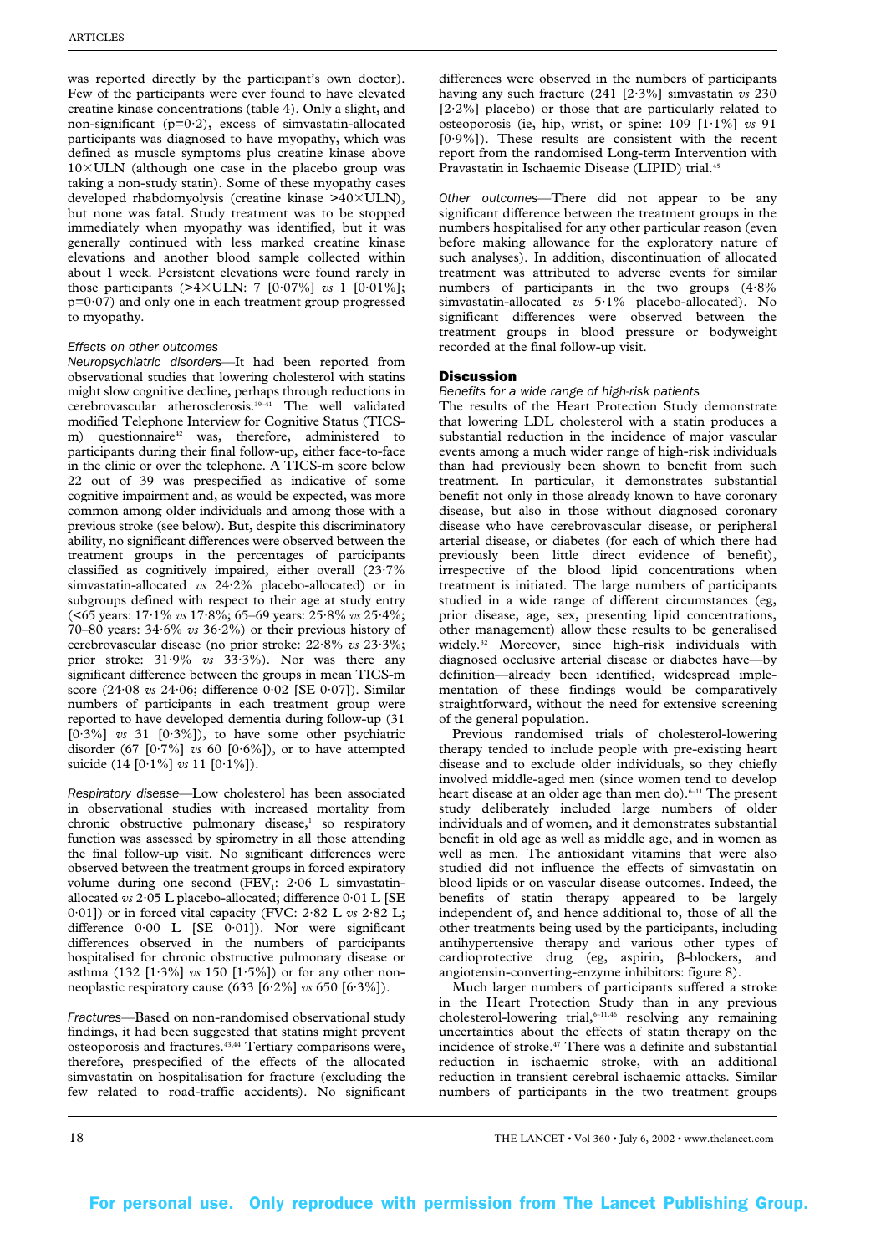was reported directly by the participant's own doctor). Few of the participants were ever found to have elevated creatine kinase concentrations (table 4). Only a slight, and non-significant ( $p=0.2$ ), excess of simvastatin-allocated participants was diagnosed to have myopathy, which was defined as muscle symptoms plus creatine kinase above  $10\times ULN$  (although one case in the placebo group was taking a non-study statin). Some of these myopathy cases developed rhabdomyolysis (creatine kinase  $>40\times ULN$ ), but none was fatal. Study treatment was to be stopped immediately when myopathy was identified, but it was generally continued with less marked creatine kinase elevations and another blood sample collected within about 1 week. Persistent elevations were found rarely in those participants  $(>4 \times ULN: 7 [0.07\%] vs 1 [0.01\%];$  $p=0.07$ ) and only one in each treatment group progressed to myopathy.

# *Effects on other outcomes*

*Neuropsychiatric disorders*—It had been reported from observational studies that lowering cholesterol with statins might slow cognitive decline, perhaps through reductions in  $c$ erebrovascular atherosclerosis.<sup>39-41</sup> The well validated modified Telephone Interview for Cognitive Status (TICSm) questionnaire<sup>42</sup> was, therefore, administered to participants during their final follow-up, either face-to-face in the clinic or over the telephone. A TICS-m score below 22 out of 39 was prespecified as indicative of some cognitive impairment and, as would be expected, was more common among older individuals and among those with a previous stroke (see below). But, despite this discriminatory ability, no significant differences were observed between the treatment groups in the percentages of participants classified as cognitively impaired, either overall (23·7% simvastatin-allocated *vs* 24·2% placebo-allocated) or in subgroups defined with respect to their age at study entry (<65 years: 17·1% *vs* 17·8%; 65–69 years: 25·8% *vs* 25·4%; 70–80 years: 34·6% *vs* 36·2%) or their previous history of cerebrovascular disease (no prior stroke: 22·8% *vs* 23·3%; prior stroke: 31·9% *vs* 33·3%). Nor was there any significant difference between the groups in mean TICS-m score (24·08 *vs* 24·06; difference 0·02 [SE 0·07]). Similar numbers of participants in each treatment group were reported to have developed dementia during follow-up (31 [0·3%] *vs* 31 [0·3%]), to have some other psychiatric disorder (67 [0·7%] *vs* 60 [0·6%]), or to have attempted suicide (14 [0·1%] *vs* 11 [0·1%]).

*Respiratory disease*—Low cholesterol has been associated in observational studies with increased mortality from chronic obstructive pulmonary disease,<sup>1</sup> so respiratory function was assessed by spirometry in all those attending the final follow-up visit. No significant differences were observed between the treatment groups in forced expiratory volume during one second (FEV<sub>1</sub>: 2·06 L simvastatinallocated *vs* 2·05 L placebo-allocated; difference 0·01 L [SE 0·01]) or in forced vital capacity (FVC: 2·82 L *vs* 2·82 L; difference 0·00 L [SE 0·01]). Nor were significant differences observed in the numbers of participants hospitalised for chronic obstructive pulmonary disease or asthma (132 [1·3%] *vs* 150 [1·5%]) or for any other nonneoplastic respiratory cause (633 [6·2%] *vs* 650 [6·3%]).

*Fractures*—Based on non-randomised observational study findings, it had been suggested that statins might prevent osteoporosis and fractures.43,44 Tertiary comparisons were, therefore, prespecified of the effects of the allocated simvastatin on hospitalisation for fracture (excluding the few related to road-traffic accidents). No significant differences were observed in the numbers of participants having any such fracture (241 [2·3%] simvastatin *vs* 230  $[2.2\%]$  placebo) or those that are particularly related to osteoporosis (ie, hip, wrist, or spine: 109 [1·1%] *vs* 91  $[0.9\%]$ ). These results are consistent with the recent report from the randomised Long-term Intervention with Pravastatin in Ischaemic Disease (LIPID) trial.45

*Other outcomes*—There did not appear to be any significant difference between the treatment groups in the numbers hospitalised for any other particular reason (even before making allowance for the exploratory nature of such analyses). In addition, discontinuation of allocated treatment was attributed to adverse events for similar numbers of participants in the two groups (4·8% simvastatin-allocated *vs* 5·1% placebo-allocated). No significant differences were observed between the treatment groups in blood pressure or bodyweight recorded at the final follow-up visit.

# Discussion

*Benefits for a wide range of high-risk patients*

The results of the Heart Protection Study demonstrate that lowering LDL cholesterol with a statin produces a substantial reduction in the incidence of major vascular events among a much wider range of high-risk individuals than had previously been shown to benefit from such treatment. In particular, it demonstrates substantial benefit not only in those already known to have coronary disease, but also in those without diagnosed coronary disease who have cerebrovascular disease, or peripheral arterial disease, or diabetes (for each of which there had previously been little direct evidence of benefit), irrespective of the blood lipid concentrations when treatment is initiated. The large numbers of participants studied in a wide range of different circumstances (eg, prior disease, age, sex, presenting lipid concentrations, other management) allow these results to be generalised widely.32 Moreover, since high-risk individuals with diagnosed occlusive arterial disease or diabetes have—by definition—already been identified, widespread implementation of these findings would be comparatively straightforward, without the need for extensive screening of the general population.

Previous randomised trials of cholesterol-lowering therapy tended to include people with pre-existing heart disease and to exclude older individuals, so they chiefly involved middle-aged men (since women tend to develop heart disease at an older age than men do).<sup>6-11</sup> The present study deliberately included large numbers of older individuals and of women, and it demonstrates substantial benefit in old age as well as middle age, and in women as well as men. The antioxidant vitamins that were also studied did not influence the effects of simvastatin on blood lipids or on vascular disease outcomes. Indeed, the benefits of statin therapy appeared to be largely independent of, and hence additional to, those of all the other treatments being used by the participants, including antihypertensive therapy and various other types of  $cardioprotective$  drug (eg, aspirin,  $\beta$ -blockers, and angiotensin-converting-enzyme inhibitors: figure 8).

Much larger numbers of participants suffered a stroke in the Heart Protection Study than in any previous cholesterol-lowering trial, $6-11,46$  resolving any remaining uncertainties about the effects of statin therapy on the incidence of stroke.47 There was a definite and substantial reduction in ischaemic stroke, with an additional reduction in transient cerebral ischaemic attacks. Similar numbers of participants in the two treatment groups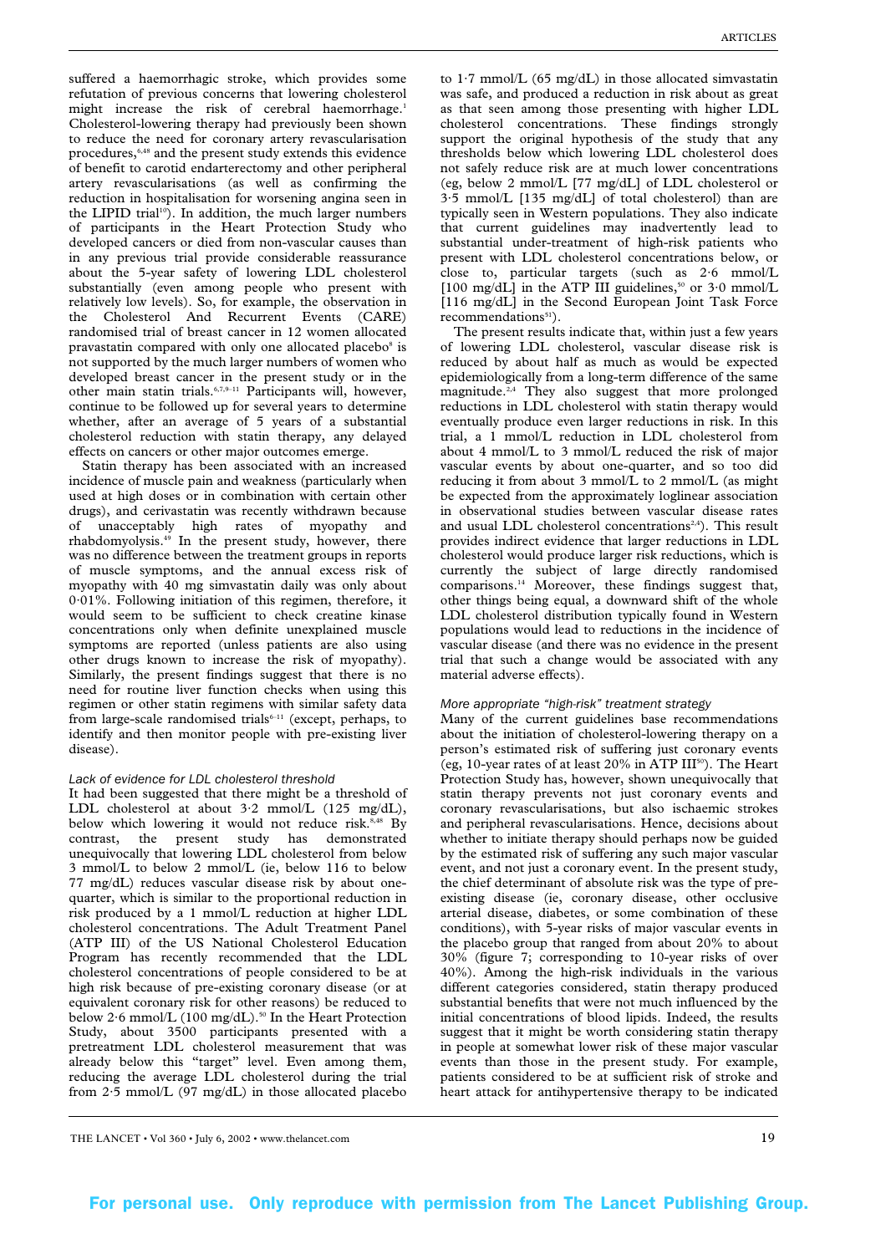suffered a haemorrhagic stroke, which provides some refutation of previous concerns that lowering cholesterol might increase the risk of cerebral haemorrhage.<sup>1</sup> Cholesterol-lowering therapy had previously been shown to reduce the need for coronary artery revascularisation procedures,<sup>6,48</sup> and the present study extends this evidence of benefit to carotid endarterectomy and other peripheral artery revascularisations (as well as confirming the reduction in hospitalisation for worsening angina seen in the LIPID trial<sup>10</sup>). In addition, the much larger numbers of participants in the Heart Protection Study who developed cancers or died from non-vascular causes than in any previous trial provide considerable reassurance about the 5-year safety of lowering LDL cholesterol substantially (even among people who present with relatively low levels). So, for example, the observation in the Cholesterol And Recurrent Events (CARE) randomised trial of breast cancer in 12 women allocated pravastatin compared with only one allocated placebo<sup>8</sup> is not supported by the much larger numbers of women who developed breast cancer in the present study or in the other main statin trials.6,7,9–11 Participants will, however, continue to be followed up for several years to determine whether, after an average of 5 years of a substantial cholesterol reduction with statin therapy, any delayed effects on cancers or other major outcomes emerge.

Statin therapy has been associated with an increased incidence of muscle pain and weakness (particularly when used at high doses or in combination with certain other drugs), and cerivastatin was recently withdrawn because of unacceptably high rates of myopathy and rhabdomyolysis.49 In the present study, however, there was no difference between the treatment groups in reports of muscle symptoms, and the annual excess risk of myopathy with 40 mg simvastatin daily was only about 0·01%. Following initiation of this regimen, therefore, it would seem to be sufficient to check creatine kinase concentrations only when definite unexplained muscle symptoms are reported (unless patients are also using other drugs known to increase the risk of myopathy). Similarly, the present findings suggest that there is no need for routine liver function checks when using this regimen or other statin regimens with similar safety data from large-scale randomised trials $6-11$  (except, perhaps, to identify and then monitor people with pre-existing liver disease).

# *Lack of evidence for LDL cholesterol threshold*

It had been suggested that there might be a threshold of LDL cholesterol at about 3·2 mmol/L (125 mg/dL), below which lowering it would not reduce risk.<sup>8,48</sup> By contrast, the present study has demonstrated unequivocally that lowering LDL cholesterol from below 3 mmol/L to below 2 mmol/L (ie, below 116 to below 77 mg/dL) reduces vascular disease risk by about onequarter, which is similar to the proportional reduction in risk produced by a 1 mmol/L reduction at higher LDL cholesterol concentrations. The Adult Treatment Panel (ATP III) of the US National Cholesterol Education Program has recently recommended that the LDL cholesterol concentrations of people considered to be at high risk because of pre-existing coronary disease (or at equivalent coronary risk for other reasons) be reduced to below 2.6 mmol/L (100 mg/dL).<sup>50</sup> In the Heart Protection Study, about 3500 participants presented with a pretreatment LDL cholesterol measurement that was already below this "target" level. Even among them, reducing the average LDL cholesterol during the trial from 2·5 mmol/L (97 mg/dL) in those allocated placebo

to  $1.7$  mmol/L (65 mg/dL) in those allocated simvastatin was safe, and produced a reduction in risk about as great as that seen among those presenting with higher LDL cholesterol concentrations. These findings strongly support the original hypothesis of the study that any thresholds below which lowering LDL cholesterol does not safely reduce risk are at much lower concentrations (eg, below 2 mmol/L [77 mg/dL] of LDL cholesterol or 3·5 mmol/L [135 mg/dL] of total cholesterol) than are typically seen in Western populations. They also indicate that current guidelines may inadvertently lead to substantial under-treatment of high-risk patients who present with LDL cholesterol concentrations below, or close to, particular targets (such as 2·6 mmol/L [100 mg/dL] in the ATP III guidelines,<sup>50</sup> or 3·0 mmol/L [116 mg/dL] in the Second European Joint Task Force recommendations<sup>51</sup>).

The present results indicate that, within just a few years of lowering LDL cholesterol, vascular disease risk is reduced by about half as much as would be expected epidemiologically from a long-term difference of the same magnitude.<sup>2,4</sup> They also suggest that more prolonged reductions in LDL cholesterol with statin therapy would eventually produce even larger reductions in risk. In this trial, a 1 mmol/L reduction in LDL cholesterol from about 4 mmol/L to 3 mmol/L reduced the risk of major vascular events by about one-quarter, and so too did reducing it from about 3 mmol/L to 2 mmol/L (as might be expected from the approximately loglinear association in observational studies between vascular disease rates and usual LDL cholesterol concentrations<sup>2,4</sup>). This result provides indirect evidence that larger reductions in LDL cholesterol would produce larger risk reductions, which is currently the subject of large directly randomised comparisons.14 Moreover, these findings suggest that, other things being equal, a downward shift of the whole LDL cholesterol distribution typically found in Western populations would lead to reductions in the incidence of vascular disease (and there was no evidence in the present trial that such a change would be associated with any material adverse effects).

# *More appropriate "high-risk" treatment strategy*

Many of the current guidelines base recommendations about the initiation of cholesterol-lowering therapy on a person's estimated risk of suffering just coronary events (eg, 10-year rates of at least 20% in ATP III<sup>50</sup>). The Heart Protection Study has, however, shown unequivocally that statin therapy prevents not just coronary events and coronary revascularisations, but also ischaemic strokes and peripheral revascularisations. Hence, decisions about whether to initiate therapy should perhaps now be guided by the estimated risk of suffering any such major vascular event, and not just a coronary event. In the present study, the chief determinant of absolute risk was the type of preexisting disease (ie, coronary disease, other occlusive arterial disease, diabetes, or some combination of these conditions), with 5-year risks of major vascular events in the placebo group that ranged from about 20% to about 30% (figure 7; corresponding to 10-year risks of over 40%). Among the high-risk individuals in the various different categories considered, statin therapy produced substantial benefits that were not much influenced by the initial concentrations of blood lipids. Indeed, the results suggest that it might be worth considering statin therapy in people at somewhat lower risk of these major vascular events than those in the present study. For example, patients considered to be at sufficient risk of stroke and heart attack for antihypertensive therapy to be indicated

THE LANCET  $\cdot$  Vol 360  $\cdot$  July 6, 2002  $\cdot$  www.thelancet.com 19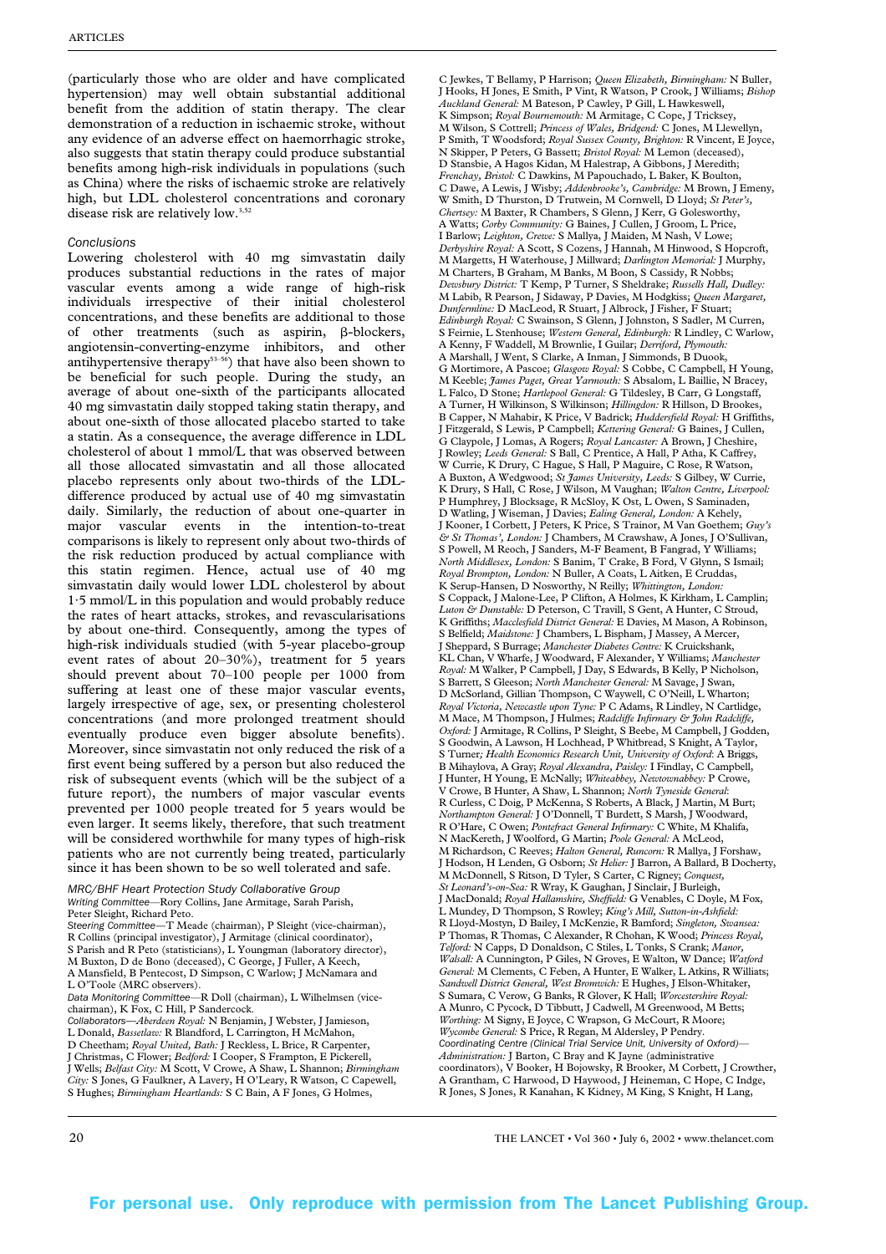(particularly those who are older and have complicated hypertension) may well obtain substantial additional benefit from the addition of statin therapy. The clear demonstration of a reduction in ischaemic stroke, without any evidence of an adverse effect on haemorrhagic stroke, also suggests that statin therapy could produce substantial benefits among high-risk individuals in populations (such as China) where the risks of ischaemic stroke are relatively high, but LDL cholesterol concentrations and coronary disease risk are relatively low.<sup>3,52</sup>

# *Conclusions*

Lowering cholesterol with 40 mg simvastatin daily produces substantial reductions in the rates of major vascular events among a wide range of high-risk individuals irrespective of their initial cholesterol concentrations, and these benefits are additional to those of other treatments (such as aspirin,  $\beta$ -blockers, angiotensin-converting-enzyme inhibitors, and other antihypertensive therapy $53-56$ ) that have also been shown to be beneficial for such people. During the study, an average of about one-sixth of the participants allocated 40 mg simvastatin daily stopped taking statin therapy, and about one-sixth of those allocated placebo started to take a statin. As a consequence, the average difference in LDL cholesterol of about 1 mmol/L that was observed between all those allocated simvastatin and all those allocated placebo represents only about two-thirds of the LDLdifference produced by actual use of 40 mg simvastatin daily. Similarly, the reduction of about one-quarter in major vascular events in the intention-to-treat comparisons is likely to represent only about two-thirds of the risk reduction produced by actual compliance with this statin regimen. Hence, actual use of 40 mg simvastatin daily would lower LDL cholesterol by about 1·5 mmol/L in this population and would probably reduce the rates of heart attacks, strokes, and revascularisations by about one-third. Consequently, among the types of high-risk individuals studied (with 5-year placebo-group event rates of about 20–30%), treatment for 5 years should prevent about 70–100 people per 1000 from suffering at least one of these major vascular events, largely irrespective of age, sex, or presenting cholesterol concentrations (and more prolonged treatment should eventually produce even bigger absolute benefits). Moreover, since simvastatin not only reduced the risk of a first event being suffered by a person but also reduced the risk of subsequent events (which will be the subject of a future report), the numbers of major vascular events prevented per 1000 people treated for 5 years would be even larger. It seems likely, therefore, that such treatment will be considered worthwhile for many types of high-risk patients who are not currently being treated, particularly since it has been shown to be so well tolerated and safe.

*MRC/BHF Heart Protection Study Collaborative Group Writing Committee—*Rory Collins, Jane Armitage, Sarah Parish, Peter Sleight, Richard Peto.

*Steering Committee—*T Meade (chairman), P Sleight (vice-chairman), R Collins (principal investigator), J Armitage (clinical coordinator), S Parish and R Peto (statisticians), L Youngman (laboratory director),

M Buxton, D de Bono (deceased), C George, J Fuller, A Keech,

A Mansfield, B Pentecost, D Simpson, C Warlow; J McNamara and L O'Toole (MRC observers).

*Collaborators*—*Aberdeen Royal:* N Benjamin, J Webster, J Jamieson, L Donald, *Bassetlaw:* R Blandford, L Carrington, H McMahon, D Cheetham; *Royal United, Bath:* J Reckless, L Brice, R Carpenter,

J Christmas, C Flower; *Bedford:* I Cooper, S Frampton, E Pickerell, J Wells; *Belfast City:* M Scott, V Crowe, A Shaw, L Shannon; *Birmingham City:* S Jones, G Faulkner, A Lavery, H O'Leary, R Watson, C Capewell, S Hughes; *Birmingham Heartlands:* S C Bain, A F Jones, G Holmes,

C Jewkes, T Bellamy, P Harrison; *Queen Elizabeth, Birmingham:* N Buller, J Hooks, H Jones, E Smith, P Vint, R Watson, P Crook, J Williams; *Bishop Auckland General:* M Bateson, P Cawley, P Gill, L Hawkeswell, K Simpson; *Royal Bournemouth:* M Armitage, C Cope, J Tricksey, M Wilson, S Cottrell; *Princess of Wales, Bridgend:* C Jones, M Llewellyn, P Smith, T Woodsford; *Royal Sussex County, Brighton:* R Vincent, E Joyce, N Skipper, P Peters, G Bassett; *Bristol Royal:* M Lemon (deceased), D Stansbie, A Hagos Kidan, M Halestrap, A Gibbons, J Meredith; *Frenchay, Bristol:* C Dawkins, M Papouchado, L Baker, K Boulton, C Dawe, A Lewis, J Wisby; *Addenbrooke's, Cambridge:* M Brown, J Emeny, W Smith, D Thurston, D Trutwein, M Cornwell, D Lloyd; *St Peter's, Chertsey:* M Baxter, R Chambers, S Glenn, J Kerr, G Golesworthy, A Watts; *Corby Community:* G Baines, J Cullen, J Groom, L Price, I Barlow; *Leighton, Crewe:* S Mallya, J Maiden, M Nash, V Lowe; *Derbyshire Royal:* A Scott, S Cozens, J Hannah, M Hinwood, S Hopcroft, M Margetts, H Waterhouse, J Millward; *Darlington Memorial:* J Murphy, M Charters, B Graham, M Banks, M Boon, S Cassidy, R Nobbs; *Dewsbury District:* T Kemp, P Turner, S Sheldrake; *Russells Hall, Dudley:* M Labib, R Pearson, J Sidaway, P Davies, M Hodgkiss; *Queen Margaret, Dunfermline:* D MacLeod, R Stuart, J Albrock, J Fisher, F Stuart; *Edinburgh Royal:* C Swainson, S Glenn, J Johnston, S Sadler, M Curren, S Feirnie, L Stenhouse; *Western General, Edinburgh:* R Lindley, C Warlow, A Kenny, F Waddell, M Brownlie, I Guilar; *Derriford, Plymouth:* A Marshall, J Went, S Clarke, A Inman, J Simmonds, B Duook, G Mortimore, A Pascoe; *Glasgow Royal:* S Cobbe, C Campbell, H Young, M Keeble; *James Paget, Great Yarmouth:* S Absalom, L Baillie, N Bracey, L Falco, D Stone; *Hartlepool General:* G Tildesley, B Carr, G Longstaff, A Turner, H Wilkinson, S Wilkinson; *Hillingdon:* R Hillson, D Brookes, B Capper, N Mahabir, K Price, V Badrick; *Huddersfield Royal:* H Griffiths, J Fitzgerald, S Lewis, P Campbell; *Kettering General:* G Baines, J Cullen, G Claypole, J Lomas, A Rogers; *Royal Lancaster:* A Brown, J Cheshire, J Rowley; *Leeds General:* S Ball, C Prentice, A Hall, P Atha, K Caffrey, W Currie, K Drury, C Hague, S Hall, P Maguire, C Rose, R Watson, A Buxton, A Wedgwood; *St James University, Leeds:* S Gilbey, W Currie, K Drury, S Hall, C Rose, J Wilson, M Vaughan; *Walton Centre, Liverpool:* P Humphrey, J Blocksage, R McSloy, K Ost, L Owen, S Saminaden, D Watling, J Wiseman, J Davies; *Ealing General, London:* A Kehely, J Kooner, I Corbett, J Peters, K Price, S Trainor, M Van Goethem; *Guy's & St Thomas', London:* J Chambers, M Crawshaw, A Jones, J O'Sullivan, S Powell, M Reoch, J Sanders, M-F Beament, B Fangrad, Y Williams; *North Middlesex, London:* S Banim, T Crake, B Ford, V Glynn, S Ismail; *Royal Brompton, London:* N Buller, A Coats, L Aitken, E Cruddas, K Serup-Hansen, D Nosworthy, N Reilly; *Whittington, London:* S Coppack, J Malone-Lee, P Clifton, A Holmes, K Kirkham, L Camplin; *Luton & Dunstable:* D Peterson, C Travill, S Gent, A Hunter, C Stroud, K Griffiths; *Macclesfield District General:* E Davies, M Mason, A Robinson, S Belfield; *Maidstone:* J Chambers, L Bispham, J Massey, A Mercer, J Sheppard, S Burrage; *Manchester Diabetes Centre:* K Cruickshank, KL Chan, V Wharfe, J Woodward, F Alexander, Y Williams; *Manchester Royal:* M Walker, P Campbell, J Day, S Edwards, B Kelly, P Nicholson, S Barrett, S Gleeson; *North Manchester General:* M Savage, J Swan, D McSorland, Gillian Thompson, C Waywell, C O'Neill, L Wharton; *Royal Victoria, Newcastle upon Tyne:* P C Adams, R Lindley, N Cartlidge, M Mace, M Thompson, J Hulmes; *Radcliffe Infirmary & John Radcliffe, Oxford:* J Armitage, R Collins, P Sleight, S Beebe, M Campbell, J Godden, S Goodwin, A Lawson, H Lochhead, P Whitbread, S Knight, A Taylor, S Turner*; Health Economics Research Unit, University of Oxford*: A Briggs, B Mihaylova, A Gray; *Royal Alexandra, Paisley:* I Findlay, C Campbell, J Hunter, H Young, E McNally; *Whiteabbey, Newtownabbey:* P Crowe, V Crowe, B Hunter, A Shaw, L Shannon; *North Tyneside General*: R Curless, C Doig, P McKenna, S Roberts, A Black, J Martin, M Burt; *Northampton General:* J O'Donnell, T Burdett, S Marsh, J Woodward, R O'Hare, C Owen; *Pontefract General Infirmary:* C White, M Khalifa, N MacKereth, J Woolford, G Martin; *Poole General:* A McLeod, M Richardson, C Reeves; *Halton General, Runcorn:* R Mallya, J Forshaw, J Hodson, H Lenden, G Osborn; *St Helier:* J Barron, A Ballard, B Docherty, M McDonnell, S Ritson, D Tyler, S Carter, C Rigney; *Conquest, St Leonard's-on-Sea:* R Wray, K Gaughan, J Sinclair, J Burleigh, J MacDonald; *Royal Hallamshire, Sheffield:* G Venables, C Doyle, M Fox, L Mundey, D Thompson, S Rowley; *King's Mill, Sutton-in-Ashfield:* R Lloyd-Mostyn, D Bailey, I McKenzie, R Bamford; *Singleton, Swansea:* P Thomas, R Thomas, C Alexander, R Chohan, K Wood; *Princess Royal, Telford:* N Capps, D Donaldson, C Stiles, L Tonks, S Crank; *Manor, Walsall:* A Cunnington, P Giles, N Groves, E Walton, W Dance; *Watford General:* M Clements, C Feben, A Hunter, E Walker, L Atkins, R Williats; *Sandwell District General, West Bromwich:* E Hughes, J Elson-Whitaker, S Sumara, C Verow, G Banks, R Glover, K Hall; *Worcestershire Royal:*  A Munro, C Pycock, D Tibbutt, J Cadwell, M Greenwood, M Betts; *Worthing:* M Signy, E Joyce, C Wrapson, G McCourt, R Moore; *Wycombe General:* S Price, R Regan, M Aldersley, P Pendry. *Coordinating Centre (Clinical Trial Service Unit, University of Oxford)— Administration:* J Barton, C Bray and K Jayne (administrative coordinators), V Booker, H Bojowsky, R Brooker, M Corbett, J Crowther, A Grantham, C Harwood, D Haywood, J Heineman, C Hope, C Indge, R Jones, S Jones, R Kanahan, K Kidney, M King, S Knight, H Lang,

*Data Monitoring Committee—*R Doll (chairman), L Wilhelmsen (vicechairman), K Fox, C Hill, P Sandercock.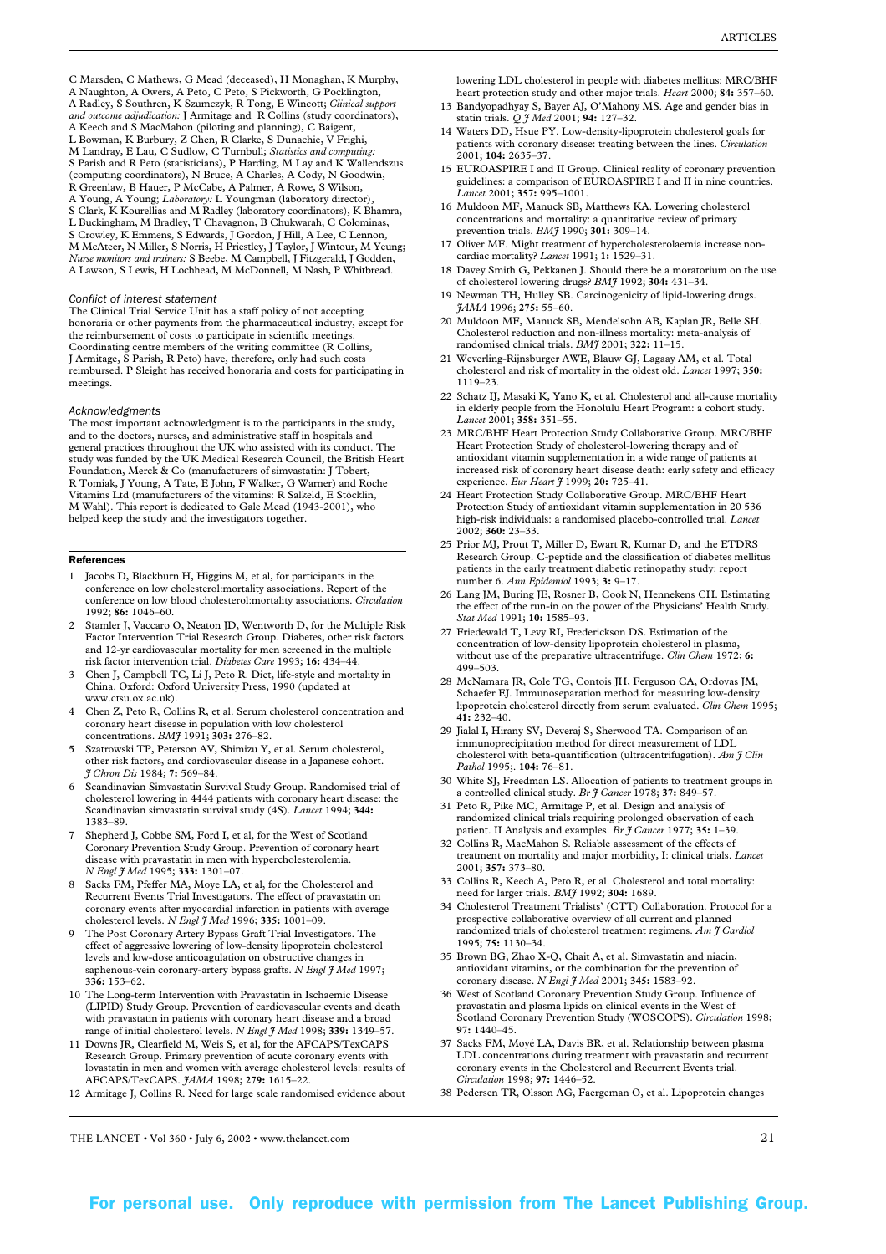C Marsden, C Mathews, G Mead (deceased), H Monaghan, K Murphy, A Naughton, A Owers, A Peto, C Peto, S Pickworth, G Pocklington, A Radley, S Southren, K Szumczyk, R Tong, E Wincott; *Clinical support and outcome adjudication:* J Armitage and R Collins (study coordinators), A Keech and S MacMahon (piloting and planning), C Baigent, L Bowman, K Burbury, Z Chen, R Clarke, S Dunachie, V Frighi, M Landray, E Lau, C Sudlow, C Turnbull; *Statistics and computing:*  S Parish and R Peto (statisticians), P Harding, M Lay and K Wallendszus (computing coordinators), N Bruce, A Charles, A Cody, N Goodwin, R Greenlaw, B Hauer, P McCabe, A Palmer, A Rowe, S Wilson, A Young, A Young; *Laboratory:* L Youngman (laboratory director), S Clark, K Kourellias and M Radley (laboratory coordinators), K Bhamra, L Buckingham, M Bradley, T Chavagnon, B Chukwarah, C Colominas, S Crowley, K Emmens, S Edwards, J Gordon, J Hill, A Lee, C Lennon, M McAteer, N Miller, S Norris, H Priestley, J Taylor, J Wintour, M Yeung; *Nurse monitors and trainers:* S Beebe, M Campbell, J Fitzgerald, J Godden, A Lawson, S Lewis, H Lochhead, M McDonnell, M Nash, P Whitbread.

#### *Conflict of interest statement*

The Clinical Trial Service Unit has a staff policy of not accepting honoraria or other payments from the pharmaceutical industry, except for the reimbursement of costs to participate in scientific meetings. Coordinating centre members of the writing committee (R Collins, J Armitage, S Parish, R Peto) have, therefore, only had such costs reimbursed. P Sleight has received honoraria and costs for participating in meetings.

*Acknowledgments* The most important acknowledgment is to the participants in the study, and to the doctors, nurses, and administrative staff in hospitals and general practices throughout the UK who assisted with its conduct. The study was funded by the UK Medical Research Council, the British Heart Foundation, Merck & Co (manufacturers of simvastatin: J Tobert, R Tomiak, J Young, A Tate, E John, F Walker, G Warner) and Roche Vitamins Ltd (manufacturers of the vitamins: R Salkeld, E Stöcklin, M Wahl). This report is dedicated to Gale Mead (1943-2001), who helped keep the study and the investigators together.

# References

- Jacobs D, Blackburn H, Higgins M, et al, for participants in the conference on low cholesterol:mortality associations. Report of the conference on low blood cholesterol:mortality associations. *Circulation* 1992; **86:** 1046–60.
- Stamler J, Vaccaro O, Neaton JD, Wentworth D, for the Multiple Risk Factor Intervention Trial Research Group. Diabetes, other risk factors and 12-yr cardiovascular mortality for men screened in the multiple risk factor intervention trial. *Diabetes Care* 1993; **16:** 434–44.
- 3 Chen J, Campbell TC, Li J, Peto R. Diet, life-style and mortality in China. Oxford: Oxford University Press, 1990 (updated at www.ctsu.ox.ac.uk).
- 4 Chen Z, Peto R, Collins R, et al. Serum cholesterol concentration and coronary heart disease in population with low cholesterol concentrations. *BMJ* 1991; **303:** 276–82.
- 5 Szatrowski TP, Peterson AV, Shimizu Y, et al. Serum cholesterol, other risk factors, and cardiovascular disease in a Japanese cohort. *J Chron Dis* 1984; **7:** 569–84.
- 6 Scandinavian Simvastatin Survival Study Group. Randomised trial of cholesterol lowering in 4444 patients with coronary heart disease: the Scandinavian simvastatin survival study (4S). *Lancet* 1994; **344:** 1383–89.
- Shepherd J, Cobbe SM, Ford I, et al, for the West of Scotland Coronary Prevention Study Group. Prevention of coronary heart disease with pravastatin in men with hypercholesterolemia. *N Engl J Med* 1995; **333:** 1301–07.
- 8 Sacks FM, Pfeffer MA, Moye LA, et al, for the Cholesterol and Recurrent Events Trial Investigators. The effect of pravastatin on coronary events after myocardial infarction in patients with average cholesterol levels. *N Engl J Med* 1996; **335:** 1001–09.
- The Post Coronary Artery Bypass Graft Trial Investigators. The effect of aggressive lowering of low-density lipoprotein cholesterol levels and low-dose anticoagulation on obstructive changes in saphenous-vein coronary-artery bypass grafts. *N Engl J Med* 1997; **336:** 153–62.
- 10 The Long-term Intervention with Pravastatin in Ischaemic Disease (LIPID) Study Group. Prevention of cardiovascular events and death with pravastatin in patients with coronary heart disease and a broad range of initial cholesterol levels. *N Engl J Med* 1998; **339:** 1349–57.
- 11 Downs JR, Clearfield M, Weis S, et al, for the AFCAPS/TexCAPS Research Group. Primary prevention of acute coronary events with lovastatin in men and women with average cholesterol levels: results of AFCAPS/TexCAPS. *JAMA* 1998; **279:** 1615–22.
- 12 Armitage J, Collins R. Need for large scale randomised evidence about

lowering LDL cholesterol in people with diabetes mellitus: MRC/BHF heart protection study and other major trials. *Heart* 2000; **84:** 357–60.

- 13 Bandyopadhyay S, Bayer AJ, O'Mahony MS. Age and gender bias in statin trials. *Q J Med* 2001; **94:** 127–32.
- 14 Waters DD, Hsue PY. Low-density-lipoprotein cholesterol goals for patients with coronary disease: treating between the lines. *Circulation* 2001; **104:** 2635–37.
- 15 EUROASPIRE I and II Group. Clinical reality of coronary prevention guidelines: a comparison of EUROASPIRE I and II in nine countries. *Lancet* 2001; **357:** 995–1001.
- 16 Muldoon MF, Manuck SB, Matthews KA. Lowering cholesterol concentrations and mortality: a quantitative review of primary prevention trials. *BMJ* 1990; **301:** 309–14.
- 17 Oliver MF. Might treatment of hypercholesterolaemia increase noncardiac mortality? *Lancet* 1991; **1:** 1529–31.
- 18 Davey Smith G, Pekkanen J. Should there be a moratorium on the use of cholesterol lowering drugs? *BMJ* 1992; **304:** 431–34.
- 19 Newman TH, Hulley SB. Carcinogenicity of lipid-lowering drugs. *JAMA* 1996; **275:** 55–60.
- 20 Muldoon MF, Manuck SB, Mendelsohn AB, Kaplan JR, Belle SH. Cholesterol reduction and non-illness mortality: meta-analysis of randomised clinical trials. *BMJ* 2001; **322:** 11–15.
- 21 Weverling-Rijnsburger AWE, Blauw GJ, Lagaay AM, et al. Total cholesterol and risk of mortality in the oldest old. *Lancet* 1997; **350:** 1119–23.
- 22 Schatz IJ, Masaki K, Yano K, et al. Cholesterol and all-cause mortality in elderly people from the Honolulu Heart Program: a cohort study. *Lancet* 2001; **358:** 351–55.
- 23 MRC/BHF Heart Protection Study Collaborative Group. MRC/BHF Heart Protection Study of cholesterol-lowering therapy and of antioxidant vitamin supplementation in a wide range of patients at increased risk of coronary heart disease death: early safety and efficacy experience. *Eur Heart J* 1999; **20:** 725–41.
- 24 Heart Protection Study Collaborative Group. MRC/BHF Heart Protection Study of antioxidant vitamin supplementation in 20 536 high-risk individuals: a randomised placebo-controlled trial. *Lancet* 2002; **360:** 23–33.
- 25 Prior MJ, Prout T, Miller D, Ewart R, Kumar D, and the ETDRS Research Group. C-peptide and the classification of diabetes mellitus patients in the early treatment diabetic retinopathy study: report number 6. *Ann Epidemiol* 1993; **3:** 9–17.
- 26 Lang JM, Buring JE, Rosner B, Cook N, Hennekens CH. Estimating the effect of the run-in on the power of the Physicians' Health Study. *Stat Med* 1991; **10:** 1585–93.
- 27 Friedewald T, Levy RI, Frederickson DS. Estimation of the concentration of low-density lipoprotein cholesterol in plasma, without use of the preparative ultracentrifuge. *Clin Chem* 1972; **6:** 499–503.
- 28 McNamara JR, Cole TG, Contois JH, Ferguson CA, Ordovas JM, Schaefer EJ. Immunoseparation method for measuring low-density lipoprotein cholesterol directly from serum evaluated. *Clin Chem* 1995; **41:** 232–40.
- 29 Jialal I, Hirany SV, Deveraj S, Sherwood TA. Comparison of an immunoprecipitation method for direct measurement of LDL cholesterol with beta-quantification (ultracentrifugation). *Am J Clin Pathol* 1995;. **104:** 76–81.
- 30 White SJ, Freedman LS. Allocation of patients to treatment groups in a controlled clinical study. *Br J Cancer* 1978; **37:** 849–57.
- 31 Peto R, Pike MC, Armitage P, et al. Design and analysis of randomized clinical trials requiring prolonged observation of each patient. II Analysis and examples. *Br J Cancer* 1977; **35:** 1–39.
- 32 Collins R, MacMahon S. Reliable assessment of the effects of treatment on mortality and major morbidity, I: clinical trials. *Lancet* 2001; **357:** 373–80.
- 33 Collins R, Keech A, Peto R, et al. Cholesterol and total mortality: need for larger trials. *BMJ* 1992; **304:** 1689.
- 34 Cholesterol Treatment Trialists' (CTT) Collaboration. Protocol for a prospective collaborative overview of all current and planned randomized trials of cholesterol treatment regimens. *Am J Cardiol* 1995; **75:** 1130–34.
- 35 Brown BG, Zhao X-Q, Chait A, et al. Simvastatin and niacin, antioxidant vitamins, or the combination for the prevention of coronary disease. *N Engl J Med* 2001; **345:** 1583–92.
- 36 West of Scotland Coronary Prevention Study Group. Influence of pravastatin and plasma lipids on clinical events in the West of Scotland Coronary Prevention Study (WOSCOPS). *Circulation* 1998; **97:** 1440–45.
- Sacks FM, Moyé LA, Davis BR, et al. Relationship between plasma LDL concentrations during treatment with pravastatin and recurrent coronary events in the Cholesterol and Recurrent Events trial. *Circulation* 1998; **97:** 1446–52.
- 38 Pedersen TR, Olsson AG, Faergeman O, et al. Lipoprotein changes

THE LANCET • Vol 360 • July 6, 2002 • www.thelancet.com 21